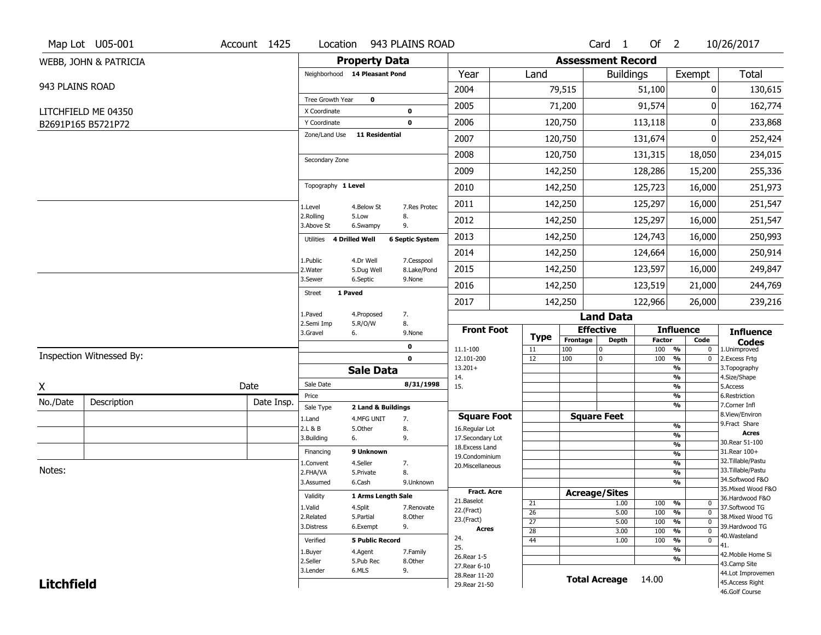|                   | Map Lot U05-001          | Account 1425 | Location                      |                        | 943 PLAINS ROAD        |                                    |                 |                          | Card <sub>1</sub>    | Of $2$                 |                                           | 10/26/2017                               |
|-------------------|--------------------------|--------------|-------------------------------|------------------------|------------------------|------------------------------------|-----------------|--------------------------|----------------------|------------------------|-------------------------------------------|------------------------------------------|
|                   | WEBB, JOHN & PATRICIA    |              |                               | <b>Property Data</b>   |                        |                                    |                 | <b>Assessment Record</b> |                      |                        |                                           |                                          |
|                   |                          |              | Neighborhood 14 Pleasant Pond |                        |                        | Year                               | Land            |                          | <b>Buildings</b>     |                        | Exempt                                    | <b>Total</b>                             |
| 943 PLAINS ROAD   |                          |              |                               |                        |                        | 2004                               |                 | 79,515                   |                      | 51,100                 | 0                                         | 130,615                                  |
|                   |                          |              | Tree Growth Year              | $\mathbf 0$            |                        | 2005                               |                 | 71,200                   |                      | 91,574                 | 0                                         | 162,774                                  |
|                   | LITCHFIELD ME 04350      |              | X Coordinate<br>Y Coordinate  |                        | 0<br>$\mathbf 0$       | 2006                               |                 | 120,750                  |                      | 113,118                | 0                                         | 233,868                                  |
|                   | B2691P165 B5721P72       |              | Zone/Land Use                 | <b>11 Residential</b>  |                        |                                    |                 |                          |                      |                        |                                           |                                          |
|                   |                          |              |                               |                        |                        | 2007                               |                 | 120,750                  |                      | 131,674                | 0                                         | 252,424                                  |
|                   |                          |              | Secondary Zone                |                        |                        | 2008                               |                 | 120,750                  |                      | 131,315                | 18,050                                    | 234,015                                  |
|                   |                          |              |                               |                        |                        | 2009                               |                 | 142,250                  |                      | 128,286                | 15,200                                    | 255,336                                  |
|                   |                          |              | Topography 1 Level            |                        |                        | 2010                               |                 | 142,250                  |                      | 125,723                | 16,000                                    | 251,973                                  |
|                   |                          |              | 1.Level                       | 4.Below St             | 7.Res Protec           | 2011                               |                 | 142,250                  |                      | 125,297                | 16,000                                    | 251,547                                  |
|                   |                          |              | 2.Rolling<br>3.Above St       | 5.Low<br>6.Swampy      | 8.<br>9.               | 2012                               |                 | 142,250                  |                      | 125,297                | 16,000                                    | 251,547                                  |
|                   |                          |              | 4 Drilled Well<br>Utilities   |                        | <b>6 Septic System</b> | 2013                               |                 | 142,250                  |                      | 124,743                | 16,000                                    | 250,993                                  |
|                   |                          |              | 1.Public                      | 4.Dr Well              | 7.Cesspool             | 2014                               |                 | 142,250                  |                      | 124,664                | 16,000                                    | 250,914                                  |
|                   |                          |              | 2. Water                      | 5.Dug Well             | 8.Lake/Pond            | 2015                               |                 | 142,250                  |                      | 123,597                | 16,000                                    | 249,847                                  |
|                   |                          |              | 3.Sewer                       | 6.Septic               | 9.None                 | 2016                               |                 | 142,250                  |                      | 123,519                | 21,000                                    | 244,769                                  |
|                   |                          |              | 1 Paved<br><b>Street</b>      |                        |                        | 2017                               |                 | 142,250                  |                      | 122,966                | 26,000                                    | 239,216                                  |
|                   |                          |              | 1.Paved                       | 4.Proposed             | 7.                     |                                    |                 |                          | <b>Land Data</b>     |                        |                                           |                                          |
|                   |                          |              | 2.Semi Imp<br>3.Gravel<br>6.  | 5.R/O/W                | 8.<br>9.None           | <b>Front Foot</b>                  | <b>Type</b>     | <b>Effective</b>         |                      |                        | <b>Influence</b>                          | <b>Influence</b>                         |
|                   |                          |              |                               |                        | 0                      | 11.1-100                           | 11              | Frontage<br>100          | <b>Depth</b><br>0    | <b>Factor</b><br>100 % | Code<br>0                                 | <b>Codes</b><br>1.Unimproved             |
|                   | Inspection Witnessed By: |              |                               |                        | $\mathbf{0}$           | 12.101-200                         | 12              | 100                      | 0                    | 100                    | $\frac{9}{6}$<br>0                        | 2. Excess Frtg                           |
|                   |                          |              |                               | <b>Sale Data</b>       |                        | $13.201+$<br>14.                   |                 |                          |                      |                        | %<br>$\frac{9}{6}$                        | 3. Topography<br>4.Size/Shape            |
| X                 |                          | Date         | Sale Date                     |                        | 8/31/1998              | 15.                                |                 |                          |                      |                        | $\frac{9}{6}$                             | 5.Access                                 |
| No./Date          | Description              | Date Insp.   | Price<br>Sale Type            | 2 Land & Buildings     |                        |                                    |                 |                          |                      |                        | %<br>%                                    | 6.Restriction<br>7.Corner Infl           |
|                   |                          |              | 1.Land                        | 4.MFG UNIT             | 7.                     | <b>Square Foot</b>                 |                 | <b>Square Feet</b>       |                      |                        |                                           | 8.View/Environ                           |
|                   |                          |              | 2.L & B                       | 5.0ther                | 8.                     | 16.Regular Lot                     |                 |                          |                      |                        | $\frac{9}{6}$<br>$\frac{9}{6}$            | 9.Fract Share<br><b>Acres</b>            |
|                   |                          |              | 3.Building<br>6.              |                        | 9.                     | 17.Secondary Lot<br>18.Excess Land |                 |                          |                      |                        | $\frac{9}{6}$                             | 30. Rear 51-100                          |
|                   |                          |              | Financing                     | 9 Unknown              |                        | 19.Condominium                     |                 |                          |                      |                        | $\frac{9}{6}$                             | 31.Rear 100+                             |
| Notes:            |                          |              | 1.Convent                     | 4.Seller               | 7.                     | 20.Miscellaneous                   |                 |                          |                      |                        | $\frac{9}{6}$                             | 32. Tillable/Pastu<br>33. Tillable/Pastu |
|                   |                          |              | 2.FHA/VA<br>3.Assumed         | 5.Private<br>6.Cash    | 8.<br>9.Unknown        |                                    |                 |                          |                      |                        | $\frac{9}{6}$<br>$\frac{9}{6}$            | 34.Softwood F&O                          |
|                   |                          |              |                               |                        |                        | <b>Fract. Acre</b>                 |                 | <b>Acreage/Sites</b>     |                      |                        |                                           | 35. Mixed Wood F&O                       |
|                   |                          |              | Validity                      | 1 Arms Length Sale     |                        | 21.Baselot                         | 21              |                          | 1.00                 | 100                    | %<br>0                                    | 36.Hardwood F&O                          |
|                   |                          |              | 1.Valid                       | 4.Split                | 7.Renovate             | 22.(Fract)                         | $\overline{26}$ |                          | 5.00                 | 100                    | $\frac{1}{2}$<br>$\mathbf{0}$             | 37.Softwood TG                           |
|                   |                          |              | 2.Related<br>3.Distress       | 5.Partial<br>6.Exempt  | 8.Other<br>9.          | 23.(Fract)                         | $\overline{27}$ |                          | 5.00                 | 100                    | $\frac{9}{6}$<br>$\mathbf 0$              | 38. Mixed Wood TG<br>39.Hardwood TG      |
|                   |                          |              |                               |                        |                        | <b>Acres</b>                       | $\overline{28}$ |                          | 3.00                 | 100                    | $\frac{9}{6}$<br>$\mathbf 0$              | 40. Wasteland                            |
|                   |                          |              | Verified                      | <b>5 Public Record</b> |                        | 24.<br>25.                         | $\overline{44}$ |                          | 1.00                 | 100                    | %<br>0                                    | 41.                                      |
|                   |                          |              | 1.Buyer                       | 4.Agent                | 7.Family               | 26.Rear 1-5                        |                 |                          |                      |                        | $\overline{\frac{9}{6}}$<br>$\frac{9}{6}$ | 42. Mobile Home Si                       |
|                   |                          |              | 2.Seller                      | 5.Pub Rec              | 8.Other                | 27. Rear 6-10                      |                 |                          |                      |                        |                                           | 43.Camp Site                             |
| <b>Litchfield</b> |                          |              | 3.Lender                      | 6.MLS                  | 9.                     | 28. Rear 11-20                     |                 |                          |                      |                        |                                           | 44.Lot Improvemen                        |
|                   |                          |              |                               |                        |                        | 29. Rear 21-50                     |                 |                          | <b>Total Acreage</b> | 14.00                  |                                           | 45.Access Right                          |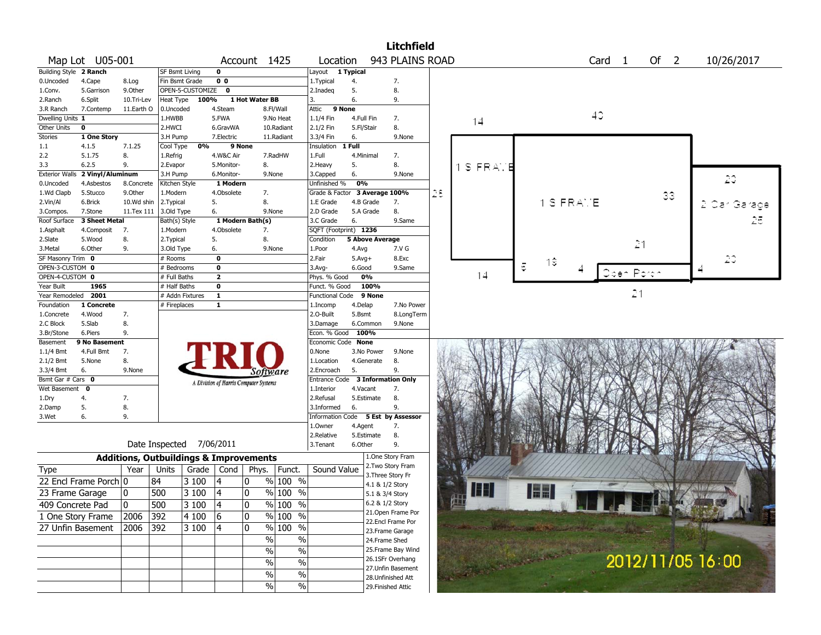|                        |                       |            |                                                   |                    |                                       |                |                    |                                    |            |                        | <b>Litchfield</b>  |    |         |    |             |                        |            |        |                  |            |  |
|------------------------|-----------------------|------------|---------------------------------------------------|--------------------|---------------------------------------|----------------|--------------------|------------------------------------|------------|------------------------|--------------------|----|---------|----|-------------|------------------------|------------|--------|------------------|------------|--|
|                        | Map Lot U05-001       |            |                                                   |                    |                                       |                | Account 1425       | Location                           |            |                        | 943 PLAINS ROAD    |    |         |    |             | Card 1                 |            | Of $2$ |                  | 10/26/2017 |  |
| Building Style 2 Ranch |                       |            | SF Bsmt Living                                    |                    | 0                                     |                |                    | Layout 1 Typical                   |            |                        |                    |    |         |    |             |                        |            |        |                  |            |  |
| 0.Uncoded              | 4.Cape                | 8.Log      | Fin Bsmt Grade                                    |                    | 0 <sub>0</sub>                        |                |                    | 1. Typical                         | 4.         |                        | 7.                 |    |         |    |             |                        |            |        |                  |            |  |
| 1.Conv.                | 5.Garrison            | 9.Other    |                                                   | OPEN-5-CUSTOMIZE 0 |                                       |                |                    | 2.Inadeq                           | 5.         |                        | 8.                 |    |         |    |             |                        |            |        |                  |            |  |
| 2.Ranch                | 6.Split               | 10.Tri-Lev | Heat Type                                         | 100%               |                                       | 1 Hot Water BB |                    | 3.                                 | 6.         |                        | 9.                 |    |         |    |             |                        |            |        |                  |            |  |
| 3.R Ranch              | 7.Contemp             | 11.Earth O | 0.Uncoded                                         |                    | 4.Steam                               |                | 8.Fl/Wall          | Attic 9 None                       |            |                        |                    |    |         |    |             |                        |            |        |                  |            |  |
| Dwelling Units 1       |                       |            | 1.HWBB                                            |                    | 5.FWA                                 |                | 9.No Heat          | 1.1/4 Fin                          |            | 4.Full Fin             | 7.                 |    | 14      |    |             | 40                     |            |        |                  |            |  |
| Other Units            | 0                     |            | 2.HWCI                                            |                    | 6.GravWA                              |                | 10.Radiant         | 2.1/2 Fin                          | 5.Fl/Stair |                        | 8.                 |    |         |    |             |                        |            |        |                  |            |  |
| <b>Stories</b>         | 1 One Story           |            | 3.H Pump                                          |                    | 7.Electric                            |                | 11.Radiant         | 3.3/4 Fin                          | 6.         |                        | 9.None             |    |         |    |             |                        |            |        |                  |            |  |
| 1.1                    | 4.1.5                 | 7.1.25     | Cool Type                                         | 0%                 |                                       | 9 None         |                    | Insulation 1 Full                  |            |                        |                    |    |         |    |             |                        |            |        |                  |            |  |
| 2.2                    | 5.1.75                | 8.         | 1.Refrig                                          |                    | 4.W&C Air                             |                | 7.RadHW            | 1.Full                             |            | 4.Minimal              | 7.                 |    |         |    |             |                        |            |        |                  |            |  |
| 3.3                    | 6.2.5                 | 9.         | 2.Evapor                                          |                    | 5.Monitor-                            |                | 8.                 | 2.Heavy                            | 5.         |                        | 8.                 |    | S FRAME |    |             |                        |            |        |                  |            |  |
| <b>Exterior Walls</b>  | 2 Vinyl/Aluminum      |            | 3.H Pump                                          |                    | 6.Monitor-                            |                | 9.None             | 3.Capped                           | 6.         |                        | 9.None             |    |         |    |             |                        |            |        |                  | 20         |  |
| 0.Uncoded              | 4.Asbestos            | 8.Concrete | Kitchen Style                                     |                    | 1 Modern                              |                |                    | Unfinished %                       | 0%         |                        |                    |    |         |    |             |                        |            |        |                  |            |  |
| 1.Wd Clapb             | 5.Stucco              | 9.Other    | 1.Modern                                          |                    | 4.Obsolete                            |                | 7.                 | Grade & Factor 3 Average 100%      |            |                        |                    | 28 |         |    |             |                        |            | 33     |                  |            |  |
| 2.Vin/Al               | 6.Brick               | 10.Wd shin | 2. Typical                                        |                    | 5.                                    |                | 8.                 | 1.E Grade                          |            | 4.B Grade              | 7.                 |    |         |    | $1$ S FRAME |                        |            |        |                  |            |  |
| 3.Compos.              | 7.Stone               | 11.Tex 111 | 3.Old Type                                        |                    | 6.                                    |                | 9.None             | 2.D Grade                          |            | 5.A Grade              | 8.                 |    |         |    |             |                        |            |        |                  |            |  |
| Roof Surface           | 3 Sheet Metal         |            | Bath(s) Style                                     |                    | 1 Modern Bath(s)                      |                |                    | 3.C Grade                          | 6.         |                        | 9.Same             |    |         |    |             |                        |            |        |                  |            |  |
| 1.Asphalt              | 4.Composit            | 7.         | 1.Modern                                          |                    | 4.Obsolete                            |                | 7.                 | SQFT (Footprint) 1236              |            |                        |                    |    |         |    |             |                        |            |        |                  |            |  |
| 2.Slate                | 5.Wood                | 8.         | 2. Typical                                        |                    | 5.                                    |                | 8.                 | Condition                          |            | <b>5 Above Average</b> |                    |    |         |    |             |                        | 21         |        |                  |            |  |
| 3.Metal                | 6.Other               | 9.         | 3.Old Type                                        |                    | 6.                                    |                | 9.None             | 1.Poor                             | 4.Avg      |                        | 7.V G              |    |         |    |             |                        |            |        |                  |            |  |
| SF Masonry Trim 0      |                       |            | # Rooms                                           |                    | $\bf o$                               |                |                    | 2.Fair                             | $5.Avg+$   |                        | 8.Exc              |    |         |    | $1\hat{z}$  |                        |            |        |                  | 20         |  |
| OPEN-3-CUSTOM 0        |                       |            | # Bedrooms                                        |                    | 0                                     |                |                    | $3.$ Avg-                          | 6.Good     |                        | 9.Same             |    |         | E  |             |                        | Open Porch |        |                  |            |  |
| OPEN-4-CUSTOM 0        |                       |            | # Full Baths                                      |                    | $\mathbf{2}$                          |                |                    | Phys. % Good                       |            | 0%                     |                    |    | 14      |    |             |                        |            |        |                  |            |  |
| Year Built             | 1965                  |            | # Half Baths                                      |                    | 0                                     |                |                    | Funct. % Good                      |            | 100%                   |                    |    |         |    |             |                        |            |        |                  |            |  |
| Year Remodeled 2001    |                       |            | # Addn Fixtures                                   |                    | $\mathbf{1}$                          |                |                    | <b>Functional Code</b>             |            | 9 None                 |                    |    |         |    |             |                        | 21         |        |                  |            |  |
| Foundation             | 1 Concrete            |            | # Fireplaces                                      |                    | $\mathbf{1}$                          |                |                    | 1.Incomp                           | 4.Delap    |                        | 7.No Power         |    |         |    |             |                        |            |        |                  |            |  |
| 1.Concrete             | 4.Wood                | 7.         |                                                   |                    |                                       |                |                    | 2.O-Built                          | 5.Bsmt     |                        | 8.LongTerm         |    |         |    |             |                        |            |        |                  |            |  |
| 2.C Block              | 5.Slab                | 8.         |                                                   |                    |                                       |                |                    | 3.Damage                           |            | 6.Common               | 9.None             |    |         |    |             |                        |            |        |                  |            |  |
| 3.Br/Stone             | 6.Piers               | 9.         |                                                   |                    |                                       |                |                    | Econ. % Good 100%                  |            |                        |                    |    |         |    |             |                        |            |        |                  |            |  |
| Basement               | 9 No Basement         |            |                                                   |                    |                                       |                |                    | Economic Code None                 |            |                        |                    |    |         |    |             |                        |            |        |                  |            |  |
| 1.1/4 Bmt              | 4.Full Bmt            | 7.         |                                                   |                    |                                       |                |                    | 0.None                             |            | 3.No Power             | 9.None             |    |         |    |             |                        |            |        |                  |            |  |
| 2.1/2 Bmt              | 5.None                | 8.         |                                                   |                    |                                       |                |                    | 1.Location                         |            | 4.Generate             | 8.                 |    |         |    |             |                        |            |        |                  |            |  |
| 3.3/4 Bmt              | 6.                    | 9.None     |                                                   |                    |                                       |                | Software           | 2.Encroach                         | 5.         |                        | 9.                 |    |         |    |             |                        |            |        |                  |            |  |
| Bsmt Gar # Cars 0      |                       |            |                                                   |                    | A Division of Harris Computer Systems |                |                    | <b>Entrance Code</b>               |            |                        | 3 Information Only |    |         |    |             |                        |            |        |                  |            |  |
| Wet Basement 0         |                       |            |                                                   |                    |                                       |                |                    | 1.Interior                         | 4.Vacant   |                        | 7.                 |    |         |    |             |                        |            |        |                  |            |  |
| 1.Dry                  | 4.                    | 7.         |                                                   |                    |                                       |                |                    | 2.Refusal                          |            | 5.Estimate             | 8.                 |    |         |    |             |                        |            |        |                  |            |  |
| 2.Damp                 | 5.                    | 8.         |                                                   |                    |                                       |                |                    | 3.Informed                         | 6.         |                        | 9.                 |    |         |    |             |                        |            |        |                  |            |  |
| 3.Wet                  | 6.                    | 9.         |                                                   |                    |                                       |                |                    | Information Code 5 Est by Assessor |            |                        |                    |    |         |    |             |                        |            |        |                  |            |  |
|                        |                       |            |                                                   |                    |                                       |                |                    | 1.0wner                            | 4.Agent    |                        | 7.                 |    |         |    |             |                        |            |        |                  |            |  |
|                        |                       |            |                                                   |                    |                                       |                |                    | 2.Relative                         |            | 5.Estimate             | 8.                 |    |         |    |             |                        |            |        |                  |            |  |
|                        |                       |            | Date Inspected 7/06/2011                          |                    |                                       |                |                    | 3.Tenant                           | 6.Other    |                        | 9.                 |    |         |    |             |                        |            |        |                  |            |  |
|                        |                       |            | <b>Additions, Outbuildings &amp; Improvements</b> |                    |                                       |                |                    |                                    |            |                        | 1.One Story Fram   |    |         |    |             |                        |            |        |                  |            |  |
| Type                   |                       | Year       | Units                                             |                    | Grade   Cond                          | Phys.          | Funct.             | Sound Value                        |            |                        | 2. Two Story Fram  |    |         |    |             |                        |            |        |                  |            |  |
|                        | 22 Encl Frame Porch 0 |            | 84                                                | 3100               |                                       | 0              | $%100$ %           |                                    |            |                        | 3. Three Story Fr  |    |         |    |             |                        |            |        |                  |            |  |
|                        |                       |            |                                                   |                    |                                       |                |                    |                                    |            |                        | 4.1 & 1/2 Story    |    | Ш       | HH |             |                        |            |        |                  |            |  |
| 23 Frame Garage        |                       | 0          | 500                                               | 3 100              | 4                                     | 10             | % 100 %            |                                    |            | 5.1 & 3/4 Story        |                    |    |         |    |             |                        |            |        |                  |            |  |
| 409 Concrete Pad       |                       | 0          | 500                                               | 3100               | 4                                     | $ 0\rangle$    | $\frac{96}{100}$ % |                                    |            | 6.2 & 1/2 Story        |                    |    |         |    |             | <b>START OF STREET</b> |            |        |                  |            |  |
| 1 One Story Frame      |                       | 2006       | 392                                               | 4 100              | 6                                     | 0              | % 100 %            |                                    |            |                        | 21. Open Frame Por |    |         |    |             |                        |            |        |                  |            |  |
| 27 Unfin Basement      |                       | 2006       | 392                                               | 3 100              | 4                                     | ١o             | % 100 %            |                                    |            |                        | 22.Encl Frame Por  |    |         |    |             |                        |            |        |                  |            |  |
|                        |                       |            |                                                   |                    |                                       |                |                    |                                    |            |                        | 23. Frame Garage   |    |         |    |             |                        |            |        |                  |            |  |
|                        |                       |            |                                                   |                    |                                       |                | $\sqrt{6}$<br>$\%$ |                                    |            |                        | 24.Frame Shed      |    |         |    |             |                        |            |        |                  |            |  |
|                        |                       |            |                                                   |                    |                                       |                | $\%$<br>$\%$       |                                    |            |                        | 25. Frame Bay Wind |    |         |    |             |                        |            |        |                  |            |  |
|                        |                       |            |                                                   |                    |                                       |                | $\%$<br>$\sqrt{6}$ |                                    |            |                        | 26.1SFr Overhang   |    |         |    |             |                        |            |        | 2012/11/05 16:00 |            |  |
|                        |                       |            |                                                   |                    |                                       |                | $\sqrt{6}$<br>$\%$ |                                    |            |                        | 27.Unfin Basement  |    |         |    |             |                        |            |        |                  |            |  |
|                        |                       |            |                                                   |                    |                                       |                |                    |                                    |            |                        | 28.Unfinished Att  |    |         |    |             |                        |            |        |                  |            |  |
|                        |                       |            |                                                   |                    |                                       |                | $\sqrt{6}$<br>$\%$ |                                    |            |                        | 29. Finished Attic |    |         |    |             |                        |            |        |                  |            |  |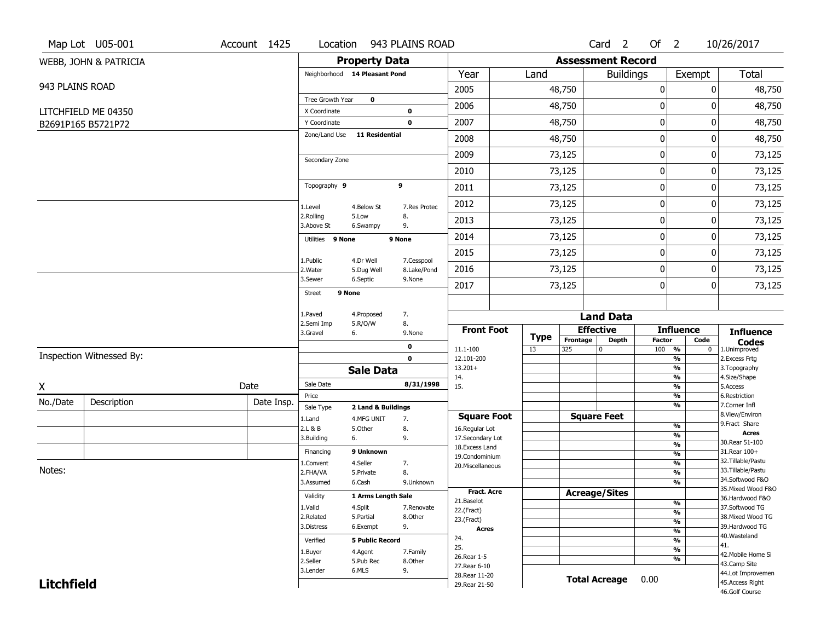|                   | Map Lot U05-001                           | Account 1425 | Location                      |                        | 943 PLAINS ROAD |                                    |                   |                          | Card <sub>2</sub>    | Of $2$                 |                                                      | 10/26/2017                         |
|-------------------|-------------------------------------------|--------------|-------------------------------|------------------------|-----------------|------------------------------------|-------------------|--------------------------|----------------------|------------------------|------------------------------------------------------|------------------------------------|
|                   | WEBB, JOHN & PATRICIA                     |              |                               | <b>Property Data</b>   |                 |                                    |                   | <b>Assessment Record</b> |                      |                        |                                                      |                                    |
|                   |                                           |              | Neighborhood 14 Pleasant Pond |                        |                 | Year                               | Land              |                          | <b>Buildings</b>     |                        | Exempt                                               | Total                              |
| 943 PLAINS ROAD   |                                           |              |                               |                        |                 | 2005                               |                   | 48,750                   |                      | $\mathbf 0$            | 0                                                    | 48,750                             |
|                   |                                           |              | Tree Growth Year              | $\mathbf 0$            | 0               | 2006                               |                   | 48,750                   |                      | 0                      | O                                                    | 48,750                             |
|                   | LITCHFIELD ME 04350<br>B2691P165 B5721P72 |              | X Coordinate<br>Y Coordinate  |                        | $\mathbf 0$     | 2007                               |                   | 48,750                   |                      | $\boldsymbol{0}$       | 0                                                    | 48,750                             |
|                   |                                           |              | Zone/Land Use                 | <b>11 Residential</b>  |                 | 2008                               |                   | 48,750                   |                      | 0                      | 0                                                    | 48,750                             |
|                   |                                           |              |                               |                        |                 | 2009                               |                   | 73,125                   |                      | $\mathbf 0$            | 0                                                    | 73,125                             |
|                   |                                           |              | Secondary Zone                |                        |                 |                                    |                   |                          |                      |                        |                                                      |                                    |
|                   |                                           |              |                               |                        |                 | 2010                               |                   | 73,125                   |                      | 0                      | 0                                                    | 73,125                             |
|                   |                                           |              | Topography 9                  |                        | 9               | 2011                               |                   | 73,125                   |                      | $\boldsymbol{0}$       | 0                                                    | 73,125                             |
|                   |                                           |              | 1.Level                       | 4.Below St             | 7.Res Protec    | 2012                               |                   | 73,125                   |                      | $\boldsymbol{0}$       | 0                                                    | 73,125                             |
|                   |                                           |              | 2.Rolling<br>3.Above St       | 5.Low<br>6.Swampy      | 8.<br>9.        | 2013                               |                   | 73,125                   |                      | $\mathbf 0$            | 0                                                    | 73,125                             |
|                   |                                           |              | Utilities 9 None              |                        | 9 None          | 2014                               |                   | 73,125                   |                      | 0                      | 0                                                    | 73,125                             |
|                   |                                           |              | 1.Public                      | 4.Dr Well              | 7.Cesspool      | 2015                               |                   | 73,125                   |                      | $\boldsymbol{0}$       | 0                                                    | 73,125                             |
|                   |                                           |              | 2. Water                      | 5.Dug Well             | 8.Lake/Pond     | 2016                               |                   | 73,125                   |                      | 0                      | 0                                                    | 73,125                             |
|                   |                                           |              | 3.Sewer                       | 6.Septic               | 9.None          | 2017                               |                   | 73,125                   |                      | $\boldsymbol{0}$       | 0                                                    | 73,125                             |
|                   |                                           |              | Street                        | 9 None                 |                 |                                    |                   |                          |                      |                        |                                                      |                                    |
|                   |                                           |              | 1.Paved                       | 4.Proposed             | 7.              |                                    |                   |                          | <b>Land Data</b>     |                        |                                                      |                                    |
|                   |                                           |              | 2.Semi Imp<br>3.Gravel        | 5.R/O/W<br>6.          | 8.<br>9.None    | <b>Front Foot</b>                  |                   |                          | <b>Effective</b>     |                        | <b>Influence</b>                                     | <b>Influence</b>                   |
|                   |                                           |              |                               |                        | 0               | 11.1-100                           | <b>Type</b><br>13 | Frontage<br>325          | <b>Depth</b><br>0    | <b>Factor</b><br>100 % | Code<br>$\mathbf 0$                                  | <b>Codes</b><br>1.Unimproved       |
|                   | Inspection Witnessed By:                  |              |                               |                        | $\mathbf{0}$    | 12.101-200                         |                   |                          |                      |                        | $\overline{\frac{9}{6}}$                             | 2. Excess Frtg                     |
|                   |                                           |              |                               | <b>Sale Data</b>       |                 | $13.201+$<br>14.                   |                   |                          |                      |                        | $\overline{\frac{9}{6}}$<br>$\overline{\frac{9}{6}}$ | 3. Topography<br>4.Size/Shape      |
| X                 |                                           | Date         | Sale Date                     |                        | 8/31/1998       | 15.                                |                   |                          |                      |                        | $\overline{\frac{9}{6}}$                             | 5.Access<br>6.Restriction          |
| No./Date          | Description                               | Date Insp.   | Price<br>Sale Type            | 2 Land & Buildings     |                 |                                    |                   |                          |                      |                        | %<br>%                                               | 7.Corner Infl                      |
|                   |                                           |              | 1.Land                        | 4.MFG UNIT             | 7.              | <b>Square Foot</b>                 |                   |                          | <b>Square Feet</b>   |                        |                                                      | 8.View/Environ<br>9. Fract Share   |
|                   |                                           |              | 2.L & B                       | 5.0ther                | 8.<br>9.        | 16.Regular Lot<br>17.Secondary Lot |                   |                          |                      |                        | $\frac{9}{6}$<br>%                                   | <b>Acres</b>                       |
|                   |                                           |              | 3.Building                    | 6.                     |                 | 18. Excess Land                    |                   |                          |                      |                        | %                                                    | 30. Rear 51-100                    |
|                   |                                           |              | Financing                     | 9 Unknown              |                 | 19.Condominium                     |                   |                          |                      |                        | %                                                    | 31.Rear 100+<br>32.Tillable/Pastu  |
| Notes:            |                                           |              | 1.Convent<br>2.FHA/VA         | 4.Seller<br>5.Private  | 7.<br>8.        | 20.Miscellaneous                   |                   |                          |                      |                        | $\frac{9}{6}$<br>%                                   | 33.Tillable/Pastu                  |
|                   |                                           |              | 3.Assumed                     | 6.Cash                 | 9.Unknown       |                                    |                   |                          |                      |                        | %                                                    | 34.Softwood F&O                    |
|                   |                                           |              | Validity                      | 1 Arms Length Sale     |                 | <b>Fract. Acre</b>                 |                   |                          | <b>Acreage/Sites</b> |                        |                                                      | 35. Mixed Wood F&O                 |
|                   |                                           |              | 1.Valid                       | 4.Split                | 7.Renovate      | 21.Baselot                         |                   |                          |                      |                        | %                                                    | 36.Hardwood F&O<br>37.Softwood TG  |
|                   |                                           |              | 2.Related                     | 5.Partial              | 8.Other         | 22.(Fract)                         |                   |                          |                      |                        | $\frac{9}{6}$                                        | 38. Mixed Wood TG                  |
|                   |                                           |              | 3.Distress                    | 6.Exempt               | 9.              | 23.(Fract)<br><b>Acres</b>         |                   |                          |                      |                        | $\frac{9}{6}$<br>$\overline{\frac{9}{6}}$            | 39.Hardwood TG                     |
|                   |                                           |              | Verified                      | <b>5 Public Record</b> |                 | 24.                                |                   |                          |                      |                        | $\frac{9}{6}$                                        | 40. Wasteland                      |
|                   |                                           |              | 1.Buyer                       | 4.Agent                | 7.Family        | 25.                                |                   |                          |                      |                        | $\frac{9}{6}$                                        | 41.                                |
|                   |                                           |              | 2.Seller                      | 5.Pub Rec              | 8.Other         | 26. Rear 1-5                       |                   |                          |                      |                        | $\overline{\frac{9}{6}}$                             | 42. Mobile Home Si<br>43.Camp Site |
|                   |                                           |              | 3.Lender                      | 6.MLS                  | 9.              | 27. Rear 6-10                      |                   |                          |                      |                        |                                                      | 44.Lot Improvemen                  |
| <b>Litchfield</b> |                                           |              |                               |                        |                 | 28. Rear 11-20<br>29. Rear 21-50   |                   |                          | <b>Total Acreage</b> | 0.00                   |                                                      | 45.Access Right                    |
|                   |                                           |              |                               |                        |                 |                                    |                   |                          |                      |                        |                                                      | 46.Golf Course                     |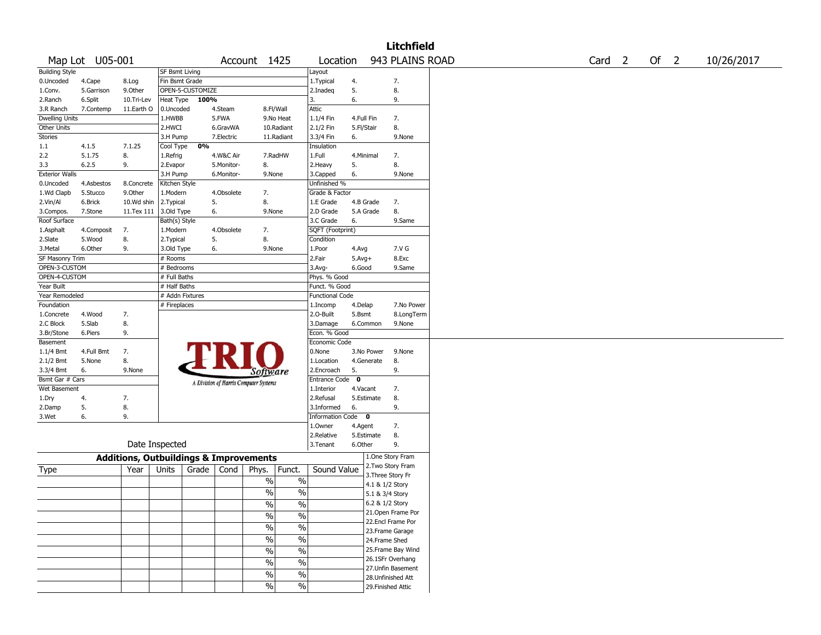|                       |                 |                                                   |                       |                  |            |                                       |               |                        |            |            | <b>Litchfield</b>                     |  |                   |  |        |            |
|-----------------------|-----------------|---------------------------------------------------|-----------------------|------------------|------------|---------------------------------------|---------------|------------------------|------------|------------|---------------------------------------|--|-------------------|--|--------|------------|
|                       | Map Lot U05-001 |                                                   |                       |                  |            | Account 1425                          |               | Location               |            |            | 943 PLAINS ROAD                       |  | Card <sub>2</sub> |  | Of $2$ | 10/26/2017 |
| <b>Building Style</b> |                 |                                                   | <b>SF Bsmt Living</b> |                  |            |                                       |               | Layout                 |            |            |                                       |  |                   |  |        |            |
| 0.Uncoded             | 4.Cape          | 8.Log                                             | Fin Bsmt Grade        |                  |            |                                       |               | 1. Typical             | 4.         |            | 7.                                    |  |                   |  |        |            |
| 1.Conv.               | 5.Garrison      | 9.0ther                                           |                       | OPEN-5-CUSTOMIZE |            |                                       |               | 2.Inadeg               | 5.         |            | 8.                                    |  |                   |  |        |            |
| 2.Ranch               | 6.Split         | 10.Tri-Lev                                        | Heat Type             | 100%             |            |                                       |               | 3.                     | 6.         |            | 9.                                    |  |                   |  |        |            |
| 3.R Ranch             | 7.Contemp       | 11.Earth O                                        | 0.Uncoded             |                  | 4.Steam    | 8.Fl/Wall                             |               | Attic                  |            |            |                                       |  |                   |  |        |            |
| <b>Dwelling Units</b> |                 |                                                   | 1.HWBB                |                  | 5.FWA      |                                       | 9.No Heat     | 1.1/4 Fin              | 4.Full Fin |            | 7.                                    |  |                   |  |        |            |
| Other Units           |                 |                                                   | 2.HWCI                |                  | 6.GravWA   |                                       | 10.Radiant    | 2.1/2 Fin              | 5.Fl/Stair |            | 8.                                    |  |                   |  |        |            |
| Stories               |                 |                                                   | 3.H Pump              |                  | 7.Electric |                                       | 11.Radiant    | 3.3/4 Fin              | 6.         |            | 9.None                                |  |                   |  |        |            |
| 1.1                   | 4.1.5           | 7.1.25                                            | Cool Type             | 0%               |            |                                       |               | Insulation             |            |            |                                       |  |                   |  |        |            |
| 2.2                   | 5.1.75          | 8.                                                | 1.Refrig              |                  | 4.W&C Air  | 7.RadHW                               |               | 1.Full                 | 4. Minimal |            | 7.                                    |  |                   |  |        |            |
| 3.3                   | 6.2.5           | 9.                                                | 2.Evapor              |                  | 5.Monitor- | 8.                                    |               | 2. Heavy               | 5.         |            | 8.                                    |  |                   |  |        |            |
| <b>Exterior Walls</b> |                 |                                                   | 3.H Pump              |                  | 6.Monitor- | 9.None                                |               | 3.Capped               | 6.         |            | 9.None                                |  |                   |  |        |            |
| 0.Uncoded             | 4.Asbestos      | 8.Concrete                                        | Kitchen Style         |                  |            |                                       |               | Unfinished %           |            |            |                                       |  |                   |  |        |            |
| 1.Wd Clapb            | 5.Stucco        | 9.0ther                                           | 1.Modern              |                  | 4.Obsolete | 7.                                    |               | Grade & Factor         |            |            |                                       |  |                   |  |        |            |
| 2.Vin/Al              | 6.Brick         | 10.Wd shin                                        | 2.Typical             | 5.               |            | 8.                                    |               | 1.E Grade              | 4.B Grade  |            | 7.                                    |  |                   |  |        |            |
| 3.Compos.             | 7.Stone         | 11.Tex 111                                        | 3.Old Type            | 6.               |            | 9.None                                |               | 2.D Grade              |            | 5.A Grade  | 8.                                    |  |                   |  |        |            |
| Roof Surface          |                 |                                                   | Bath(s) Style         |                  |            |                                       |               | 3.C Grade              | 6.         |            | 9.Same                                |  |                   |  |        |            |
| 1.Asphalt             | 4.Composit      | 7.                                                | 1.Modern              |                  | 4.Obsolete | 7.                                    |               | SQFT (Footprint)       |            |            |                                       |  |                   |  |        |            |
| 2.Slate               | 5.Wood          | 8.                                                | 2. Typical            | 5.               |            | 8.                                    |               | Condition              |            |            |                                       |  |                   |  |        |            |
| 3.Metal               | 6.Other         | 9.                                                | 3.Old Type            | 6.               |            | 9.None                                |               | 1.Poor                 | 4.Avg      |            | 7.V G                                 |  |                   |  |        |            |
| SF Masonry Trim       |                 |                                                   | # Rooms               |                  |            |                                       |               | 2.Fair                 | $5.Avg+$   |            | 8.Exc                                 |  |                   |  |        |            |
| OPEN-3-CUSTOM         |                 |                                                   | # Bedrooms            |                  |            |                                       |               | $3.$ Avg-              | 6.Good     |            | 9.Same                                |  |                   |  |        |            |
| OPEN-4-CUSTOM         |                 |                                                   | # Full Baths          |                  |            |                                       |               | Phys. % Good           |            |            |                                       |  |                   |  |        |            |
| Year Built            |                 |                                                   | # Half Baths          |                  |            |                                       |               | Funct. % Good          |            |            |                                       |  |                   |  |        |            |
| Year Remodeled        |                 |                                                   | # Addn Fixtures       |                  |            |                                       |               | <b>Functional Code</b> |            |            |                                       |  |                   |  |        |            |
| Foundation            |                 |                                                   | # Fireplaces          |                  |            |                                       |               | 1.Incomp               | 4.Delap    |            | 7.No Power                            |  |                   |  |        |            |
| 1.Concrete            | 4.Wood          | 7.                                                |                       |                  |            |                                       |               | 2.O-Built              | 5.Bsmt     |            | 8.LongTerm                            |  |                   |  |        |            |
| 2.C Block             | 5.Slab          | 8.                                                |                       |                  |            |                                       |               | 3.Damage               |            | 6.Common   | 9.None                                |  |                   |  |        |            |
| 3.Br/Stone            | 6.Piers         | 9.                                                |                       |                  |            |                                       |               | Econ. % Good           |            |            |                                       |  |                   |  |        |            |
| Basement              |                 |                                                   |                       |                  |            |                                       |               | Economic Code          |            |            |                                       |  |                   |  |        |            |
| $1.1/4$ Bmt           | 4.Full Bmt      | 7.                                                |                       |                  |            |                                       |               | 0.None                 |            | 3.No Power | 9.None                                |  |                   |  |        |            |
| 2.1/2 Bmt             | 5.None          | 8.                                                |                       |                  |            |                                       |               | 1.Location             |            | 4.Generate | 8.                                    |  |                   |  |        |            |
| 3.3/4 Bmt             | 6.              | 9.None                                            |                       |                  |            | Software                              |               | 2.Encroach             | 5.         |            | 9.                                    |  |                   |  |        |            |
| Bsmt Gar # Cars       |                 |                                                   |                       |                  |            |                                       |               | Entrance Code 0        |            |            |                                       |  |                   |  |        |            |
| Wet Basement          |                 |                                                   |                       |                  |            | A Division of Harris Computer Systems |               | 1.Interior             | 4.Vacant   |            | 7.                                    |  |                   |  |        |            |
| 1.Dry                 | 4.              | 7.                                                |                       |                  |            |                                       |               | 2.Refusal              |            | 5.Estimate | 8.                                    |  |                   |  |        |            |
| 2.Damp                | 5.              | 8.                                                |                       |                  |            |                                       |               | 3.Informed             | 6.         |            | 9.                                    |  |                   |  |        |            |
| 3.Wet                 | 6.              | 9.                                                |                       |                  |            |                                       |               | Information Code 0     |            |            |                                       |  |                   |  |        |            |
|                       |                 |                                                   |                       |                  |            |                                       |               | 1.0wner                | 4.Agent    |            | 7.                                    |  |                   |  |        |            |
|                       |                 |                                                   |                       |                  |            |                                       |               | 2.Relative             |            | 5.Estimate | 8.                                    |  |                   |  |        |            |
|                       |                 | Date Inspected                                    |                       |                  |            |                                       |               | 3. Tenant              | 6.Other    |            | 9.                                    |  |                   |  |        |            |
|                       |                 |                                                   |                       |                  |            |                                       |               |                        |            |            |                                       |  |                   |  |        |            |
|                       |                 | <b>Additions, Outbuildings &amp; Improvements</b> |                       |                  |            |                                       |               |                        |            |            | 1.One Story Fram<br>2. Two Story Fram |  |                   |  |        |            |
| Type                  |                 | Year                                              | Units                 | Grade $ $        | Cond       | Phys.                                 | Funct.        | Sound Value            |            |            | 3. Three Story Fr                     |  |                   |  |        |            |
|                       |                 |                                                   |                       |                  |            | $\%$                                  | $\%$          |                        |            |            | 4.1 & 1/2 Story                       |  |                   |  |        |            |
|                       |                 |                                                   |                       |                  |            | $\frac{0}{0}$                         | $\%$          |                        |            |            | 5.1 & 3/4 Story                       |  |                   |  |        |            |
|                       |                 |                                                   |                       |                  |            |                                       |               |                        |            |            | 6.2 & 1/2 Story                       |  |                   |  |        |            |
|                       |                 |                                                   |                       |                  |            | $\%$                                  | $\frac{0}{6}$ |                        |            |            | 21. Open Frame Por                    |  |                   |  |        |            |
|                       |                 |                                                   |                       |                  |            | $\frac{1}{2}$                         | $\frac{0}{0}$ |                        |            |            |                                       |  |                   |  |        |            |
|                       |                 |                                                   |                       |                  |            | $\%$                                  | $\frac{0}{0}$ |                        |            |            | 22.Encl Frame Por                     |  |                   |  |        |            |
|                       |                 |                                                   |                       |                  |            |                                       |               |                        |            |            | 23. Frame Garage                      |  |                   |  |        |            |
|                       |                 |                                                   |                       |                  |            | $\%$                                  | $\%$          |                        |            |            | 24.Frame Shed                         |  |                   |  |        |            |
|                       |                 |                                                   |                       |                  |            | $\frac{0}{0}$                         | $\frac{0}{0}$ |                        |            |            | 25. Frame Bay Wind                    |  |                   |  |        |            |
|                       |                 |                                                   |                       |                  |            | $\%$                                  | $\%$          |                        |            |            | 26.1SFr Overhang                      |  |                   |  |        |            |
|                       |                 |                                                   |                       |                  |            | $\%$                                  | $\frac{1}{2}$ |                        |            |            | 27.Unfin Basement                     |  |                   |  |        |            |
|                       |                 |                                                   |                       |                  |            |                                       |               |                        |            |            | 28. Unfinished Att                    |  |                   |  |        |            |
|                       |                 |                                                   |                       |                  |            | $\%$                                  | $\%$          |                        |            |            | 29. Finished Attic                    |  |                   |  |        |            |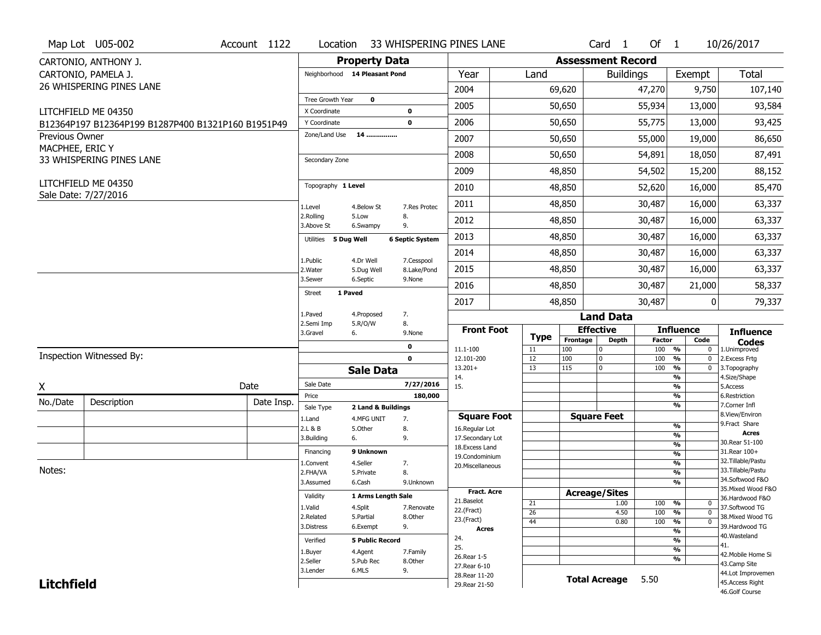|                                          | Map Lot U05-002                                    | Account 1122 | Location                      |                                  |                        | 33 WHISPERING PINES LANE         |                   |                          | Card <sub>1</sub>    | Of $1$               |                                                | 10/26/2017                            |
|------------------------------------------|----------------------------------------------------|--------------|-------------------------------|----------------------------------|------------------------|----------------------------------|-------------------|--------------------------|----------------------|----------------------|------------------------------------------------|---------------------------------------|
|                                          | CARTONIO, ANTHONY J.                               |              |                               | <b>Property Data</b>             |                        |                                  |                   | <b>Assessment Record</b> |                      |                      |                                                |                                       |
|                                          | CARTONIO, PAMELA J.                                |              | Neighborhood 14 Pleasant Pond |                                  |                        | Year                             | Land              |                          | <b>Buildings</b>     |                      | Exempt                                         | <b>Total</b>                          |
|                                          | 26 WHISPERING PINES LANE                           |              |                               |                                  |                        | 2004                             |                   | 69,620                   |                      | 47,270               | 9,750                                          | 107,140                               |
|                                          |                                                    |              | Tree Growth Year              | $\mathbf 0$                      |                        | 2005                             |                   | 50,650                   |                      | 55,934               | 13,000                                         | 93,584                                |
|                                          | LITCHFIELD ME 04350                                |              | X Coordinate                  |                                  | $\mathbf 0$            |                                  |                   |                          |                      |                      |                                                |                                       |
|                                          | B12364P197 B12364P199 B1287P400 B1321P160 B1951P49 |              | Y Coordinate<br>Zone/Land Use | 14                               | $\mathbf 0$            | 2006                             |                   | 50,650                   |                      | 55,775               | 13,000                                         | 93,425                                |
| <b>Previous Owner</b><br>MACPHEE, ERIC Y |                                                    |              |                               |                                  |                        | 2007                             |                   | 50,650                   |                      | 55,000               | 19,000                                         | 86,650                                |
|                                          | 33 WHISPERING PINES LANE                           |              | Secondary Zone                |                                  |                        | 2008                             |                   | 50,650                   |                      | 54,891               | 18,050                                         | 87,491                                |
|                                          |                                                    |              |                               |                                  |                        | 2009                             |                   | 48,850                   |                      | 54,502               | 15,200                                         | 88,152                                |
|                                          | LITCHFIELD ME 04350<br>Sale Date: 7/27/2016        |              | Topography 1 Level            |                                  |                        | 2010                             |                   | 48,850                   |                      | 52,620               | 16,000                                         | 85,470                                |
|                                          |                                                    |              | 1.Level                       | 4.Below St                       | 7.Res Protec           | 2011                             |                   | 48,850                   |                      | 30,487               | 16,000                                         | 63,337                                |
|                                          |                                                    |              | 2.Rolling<br>3.Above St       | 5.Low<br>6.Swampy                | 8.<br>9.               | 2012                             |                   | 48,850                   |                      | 30,487               | 16,000                                         | 63,337                                |
|                                          |                                                    |              | Utilities 5 Dug Well          |                                  | <b>6 Septic System</b> | 2013                             |                   | 48,850                   |                      | 30,487               | 16,000                                         | 63,337                                |
|                                          |                                                    |              | 1.Public                      | 4.Dr Well                        | 7.Cesspool             | 2014                             |                   | 48,850                   |                      | 30,487               | 16,000                                         | 63,337                                |
|                                          |                                                    |              | 2. Water                      | 5.Dug Well                       | 8.Lake/Pond            | 2015                             |                   | 48,850                   |                      | 30,487               | 16,000                                         | 63,337                                |
|                                          |                                                    |              | 3.Sewer<br><b>Street</b>      | 6.Septic<br>1 Paved              | 9.None                 | 2016                             |                   | 48,850                   |                      | 30,487               | 21,000                                         | 58,337                                |
|                                          |                                                    |              |                               |                                  |                        | 2017                             |                   | 48,850                   |                      | 30,487               | 0                                              | 79,337                                |
|                                          |                                                    |              | 1.Paved                       | 4.Proposed                       | 7.                     |                                  |                   |                          | <b>Land Data</b>     |                      |                                                |                                       |
|                                          |                                                    |              |                               |                                  |                        |                                  |                   |                          |                      |                      |                                                |                                       |
|                                          |                                                    |              | 2.Semi Imp<br>3.Gravel        | 5.R/O/W<br>6.                    | 8.<br>9.None           | <b>Front Foot</b>                |                   | <b>Effective</b>         |                      |                      | <b>Influence</b>                               | <b>Influence</b>                      |
|                                          |                                                    |              |                               |                                  | 0                      | 11.1-100                         | <b>Type</b><br>11 | Frontage<br>100          | <b>Depth</b><br>0    | <b>Factor</b><br>100 | Code<br>%<br>0                                 | <b>Codes</b><br>1.Unimproved          |
|                                          | Inspection Witnessed By:                           |              |                               |                                  | $\mathbf 0$            | 12.101-200                       | 12                | 100                      | 0                    | 100                  | $\frac{9}{6}$<br>$\mathbf 0$                   | 2. Excess Frtg                        |
|                                          |                                                    |              |                               | <b>Sale Data</b>                 |                        | $13.201+$<br>14.                 | 13                | 115                      | $\mathbf 0$          | 100                  | $\frac{9}{6}$<br>0<br>$\overline{\frac{9}{6}}$ | 3. Topography<br>4.Size/Shape         |
| X                                        |                                                    | Date         | Sale Date                     |                                  | 7/27/2016              | 15.                              |                   |                          |                      |                      | %                                              | 5.Access                              |
| No./Date                                 | Description                                        | Date Insp.   | Price                         |                                  | 180,000                |                                  |                   |                          |                      |                      | %<br>%                                         | 6.Restriction<br>7.Corner Infl        |
|                                          |                                                    |              | Sale Type<br>1.Land           | 2 Land & Buildings<br>4.MFG UNIT | 7.                     | <b>Square Foot</b>               |                   | <b>Square Feet</b>       |                      |                      |                                                | 8.View/Environ                        |
|                                          |                                                    |              | 2.L & B                       | 5.Other                          | 8.                     | 16.Regular Lot                   |                   |                          |                      |                      | $\frac{9}{6}$                                  | 9. Fract Share<br><b>Acres</b>        |
|                                          |                                                    |              | 3.Building                    | 6.                               | 9.                     | 17.Secondary Lot                 |                   |                          |                      |                      | $\frac{9}{6}$<br>$\frac{9}{6}$                 | 30. Rear 51-100                       |
|                                          |                                                    |              | Financing                     | 9 Unknown                        |                        | 18.Excess Land<br>19.Condominium |                   |                          |                      |                      | $\frac{9}{6}$                                  | 31.Rear 100+                          |
|                                          |                                                    |              | 1.Convent                     | 4.Seller                         | 7.                     | 20.Miscellaneous                 |                   |                          |                      |                      | $\frac{9}{6}$                                  | 32.Tillable/Pastu                     |
| Notes:                                   |                                                    |              | 2.FHA/VA                      | 5.Private                        | 8.                     |                                  |                   |                          |                      |                      | $\frac{9}{6}$                                  | 33. Tillable/Pastu<br>34.Softwood F&O |
|                                          |                                                    |              | 3.Assumed                     | 6.Cash                           | 9.Unknown              | <b>Fract. Acre</b>               |                   |                          |                      |                      | $\frac{9}{6}$                                  | 35. Mixed Wood F&O                    |
|                                          |                                                    |              | Validity                      | 1 Arms Length Sale               |                        | 21.Baselot                       |                   | <b>Acreage/Sites</b>     |                      |                      |                                                | 36.Hardwood F&O                       |
|                                          |                                                    |              | 1.Valid                       | 4.Split                          | 7.Renovate             | 22.(Fract)                       | 21<br>26          |                          | 1.00<br>4.50         | 100<br>100           | %<br>0<br>%<br>$\mathbf 0$                     | 37.Softwood TG                        |
|                                          |                                                    |              | 2.Related                     | 5.Partial                        | 8.Other                | 23.(Fract)                       | 44                |                          | 0.80                 | 100                  | %<br>0                                         | 38. Mixed Wood TG                     |
|                                          |                                                    |              | 3.Distress                    | 6.Exempt                         | 9.                     | <b>Acres</b>                     |                   |                          |                      |                      | $\frac{9}{6}$                                  | 39.Hardwood TG                        |
|                                          |                                                    |              | Verified                      | <b>5 Public Record</b>           |                        | 24.                              |                   |                          |                      |                      | $\frac{9}{6}$                                  | 40. Wasteland<br>41.                  |
|                                          |                                                    |              | 1.Buyer                       | 4.Agent                          | 7.Family               | 25.<br>26. Rear 1-5              |                   |                          |                      |                      | $\frac{9}{6}$                                  | 42. Mobile Home Si                    |
|                                          |                                                    |              | 2.Seller                      | 5.Pub Rec                        | 8.Other                | 27. Rear 6-10                    |                   |                          |                      |                      | %                                              | 43.Camp Site                          |
| <b>Litchfield</b>                        |                                                    |              | 3.Lender                      | 6.MLS                            | 9.                     | 28. Rear 11-20<br>29. Rear 21-50 |                   |                          | <b>Total Acreage</b> | 5.50                 |                                                | 44.Lot Improvemen<br>45. Access Right |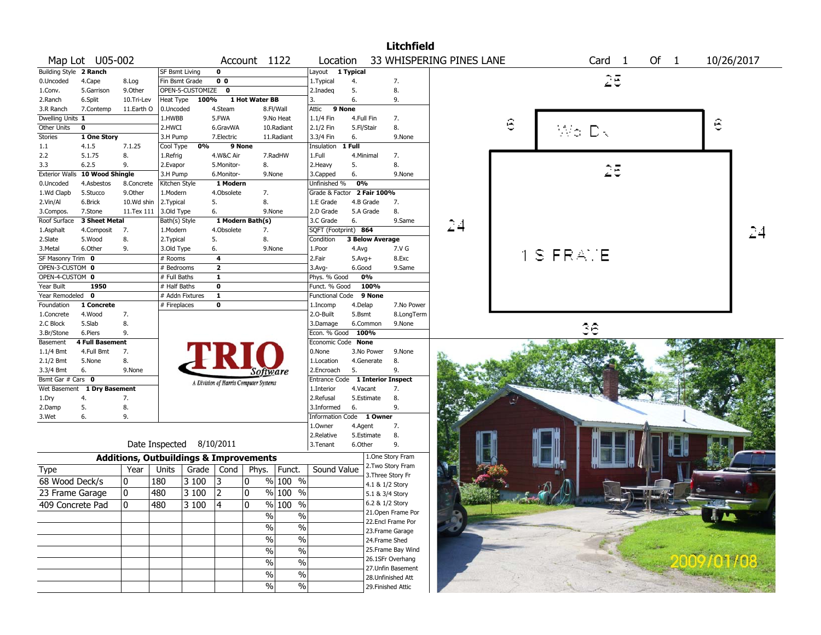|                        |                                |                                                   |                       |                    |                |                                       |                          |                                  |            |                        | <b>Litchfield</b>  |                          |   |           |       |                   |        |   |            |
|------------------------|--------------------------------|---------------------------------------------------|-----------------------|--------------------|----------------|---------------------------------------|--------------------------|----------------------------------|------------|------------------------|--------------------|--------------------------|---|-----------|-------|-------------------|--------|---|------------|
|                        | Map Lot U05-002                |                                                   |                       |                    |                | Account 1122                          |                          | Location                         |            |                        |                    | 33 WHISPERING PINES LANE |   |           |       | Card <sub>1</sub> | Of $1$ |   | 10/26/2017 |
| Building Style 2 Ranch |                                |                                                   | <b>SF Bsmt Living</b> |                    | 0              |                                       |                          | Layout 1 Typical                 |            |                        |                    |                          |   |           |       |                   |        |   |            |
| 0.Uncoded              | 4.Cape                         | 8.Log                                             | Fin Bsmt Grade        |                    | 0 <sub>0</sub> |                                       |                          | 1. Typical                       | 4.         |                        | 7.                 |                          |   |           |       | 25                |        |   |            |
| 1.Conv.                | 5.Garrison                     | 9.Other                                           |                       | OPEN-5-CUSTOMIZE 0 |                |                                       |                          | 2.Inadeg                         | 5.         |                        | 8.                 |                          |   |           |       |                   |        |   |            |
| 2.Ranch                | 6.Split                        | 10.Tri-Lev                                        | Heat Type             | 100%               |                | 1 Hot Water BB                        |                          | 3.                               | 6.         |                        | 9.                 |                          |   |           |       |                   |        |   |            |
| 3.R Ranch              | 7.Contemp                      | 11.Earth O                                        | 0.Uncoded             |                    | 4.Steam        |                                       | 8.Fl/Wall                | Attic                            | 9 None     |                        |                    |                          |   |           |       |                   |        |   |            |
| Dwelling Units 1       |                                |                                                   | 1.HWBB                |                    | 5.FWA          |                                       | 9.No Heat                | $1.1/4$ Fin                      | 4.Full Fin |                        | 7.                 |                          |   |           |       |                   |        |   |            |
| Other Units            | $\mathbf 0$                    |                                                   | 2.HWCI                |                    | 6.GravWA       |                                       | 10.Radiant               | 2.1/2 Fin                        | 5.Fl/Stair |                        | 8.                 |                          | 6 |           | Wo Dk |                   |        | Θ |            |
| Stories                | 1 One Story                    |                                                   | 3.H Pump              |                    | 7.Electric     |                                       | 11.Radiant               | 3.3/4 Fin                        | 6.         |                        | 9.None             |                          |   |           |       |                   |        |   |            |
| 1.1                    | 4.1.5                          | 7.1.25                                            | Cool Type             | 0%                 |                | 9 None                                |                          | Insulation 1 Full                |            |                        |                    |                          |   |           |       |                   |        |   |            |
| 2.2                    | 5.1.75                         | 8.                                                | 1.Refrig              |                    | 4.W&C Air      |                                       | 7.RadHW                  | 1.Full                           | 4.Minimal  |                        | 7.                 |                          |   |           |       |                   |        |   |            |
| 3.3                    | 6.2.5                          | 9.                                                | 2.Evapor              |                    | 5.Monitor-     | 8.                                    |                          | 2. Heavy                         | 5.         |                        | 8.                 |                          |   |           |       |                   |        |   |            |
|                        | Exterior Walls 10 Wood Shingle |                                                   | 3.H Pump              |                    | 6.Monitor-     |                                       | 9.None                   | 3.Capped                         | 6.         |                        | 9.None             |                          |   |           |       |                   |        |   |            |
| 0.Uncoded              | 4.Asbestos                     | 8.Concrete                                        | Kitchen Style         |                    | 1 Modern       |                                       |                          | Unfinished %                     | 0%         |                        |                    |                          |   |           |       |                   |        |   |            |
| 1.Wd Clapb             | 5.Stucco                       | 9.Other                                           | 1.Modern              |                    | 4.Obsolete     | 7.                                    |                          | Grade & Factor 2 Fair 100%       |            |                        |                    |                          |   |           |       |                   |        |   |            |
| 2.Vin/Al               | 6.Brick                        | 10.Wd shin                                        | 2.Typical             |                    | 5.             | 8.                                    |                          | 1.E Grade                        |            | 4.B Grade              | 7.                 |                          |   |           |       |                   |        |   |            |
| 3.Compos.              | 7.Stone                        | 11.Tex 111                                        | 3.Old Type            |                    | 6.             |                                       | 9.None                   | 2.D Grade                        |            | 5.A Grade              | 8.                 |                          |   |           |       |                   |        |   |            |
| Roof Surface           | 3 Sheet Metal                  |                                                   | Bath(s) Style         |                    |                | 1 Modern Bath(s)                      |                          | 3.C Grade                        | 6.         |                        | 9.Same             |                          |   |           |       |                   |        |   |            |
| 1.Asphalt              | 4.Composit                     | 7.                                                | 1.Modern              |                    | 4.Obsolete     | 7.                                    |                          | SQFT (Footprint) 864             |            |                        |                    | 24                       |   |           |       |                   |        |   |            |
| 2.Slate                | 5.Wood                         | 8.                                                | 2. Typical            |                    | 5.             | 8.                                    |                          | Condition                        |            | <b>3 Below Average</b> |                    |                          |   |           |       |                   |        |   |            |
| 3.Metal                | 6.Other                        | 9.                                                | 3.Old Type            |                    | 6.             |                                       | 9.None                   | 1.Poor                           | 4.Avg      |                        | 7.V G              |                          |   |           |       |                   |        |   |            |
| SF Masonry Trim 0      |                                |                                                   | # Rooms               |                    | 4              |                                       |                          | 2.Fair                           | $5.Avg+$   |                        | 8.Exc              |                          |   | 1 S FRAME |       |                   |        |   |            |
| OPEN-3-CUSTOM 0        |                                |                                                   | # Bedrooms            |                    | $\overline{2}$ |                                       |                          | 3.Avg-                           | 6.Good     |                        | 9.Same             |                          |   |           |       |                   |        |   |            |
| OPEN-4-CUSTOM 0        |                                |                                                   | # Full Baths          |                    | 1              |                                       |                          | Phys. % Good                     |            | 0%                     |                    |                          |   |           |       |                   |        |   |            |
| Year Built             | 1950                           |                                                   | # Half Baths          |                    | $\mathbf 0$    |                                       |                          | Funct. % Good                    |            | 100%                   |                    |                          |   |           |       |                   |        |   |            |
| Year Remodeled 0       |                                |                                                   | # Addn Fixtures       |                    | 1              |                                       |                          | <b>Functional Code</b>           |            | 9 None                 |                    |                          |   |           |       |                   |        |   |            |
| Foundation             | 1 Concrete                     |                                                   | # Fireplaces          |                    | 0              |                                       |                          | 1.Incomp                         | 4.Delap    |                        | 7.No Power         |                          |   |           |       |                   |        |   |            |
| 1.Concrete             | 4.Wood                         | 7.                                                |                       |                    |                |                                       |                          | 2.O-Built                        | 5.Bsmt     |                        | 8.LongTerm         |                          |   |           |       |                   |        |   |            |
| 2.C Block              | 5.Slab                         | 8.                                                |                       |                    |                |                                       |                          | 3.Damage                         |            | 6.Common               | 9.None             |                          |   |           |       |                   |        |   |            |
| 3.Br/Stone             | 6.Piers                        | 9.                                                |                       |                    |                |                                       |                          | Econ. % Good 100%                |            |                        |                    |                          |   |           | 36    |                   |        |   |            |
| Basement               | <b>4 Full Basement</b>         |                                                   |                       |                    |                |                                       |                          | Economic Code None               |            |                        |                    |                          |   |           |       |                   |        |   |            |
| 1.1/4 Bmt              | 4.Full Bmt                     | 7.                                                |                       |                    |                |                                       |                          | 0.None                           |            | 3.No Power             | 9.None             |                          |   |           |       |                   |        |   |            |
| 2.1/2 Bmt              | 5.None                         | 8.                                                |                       |                    |                |                                       |                          | 1.Location                       |            | 4.Generate             | 8.                 |                          |   |           |       |                   |        |   |            |
| 3.3/4 Bmt              | 6.                             | 9.None                                            |                       |                    |                | Software                              |                          | 2.Encroach                       | 5.         |                        | 9.                 |                          |   |           |       |                   |        |   |            |
| Bsmt Gar # Cars 0      |                                |                                                   |                       |                    |                | A Division of Harris Computer Systems |                          | Entrance Code 1 Interior Inspect |            |                        |                    |                          |   |           |       |                   |        |   |            |
|                        | Wet Basement 1 Dry Basement    |                                                   |                       |                    |                |                                       |                          | 1.Interior                       | 4.Vacant   |                        | 7.                 |                          |   |           |       |                   |        |   |            |
| 1.Dry                  | 4.                             | 7.                                                |                       |                    |                |                                       |                          | 2.Refusal                        |            | 5.Estimate             | 8.                 |                          |   |           |       |                   |        |   |            |
| 2.Damp                 | 5.                             | 8.                                                |                       |                    |                |                                       |                          | 3.Informed                       | 6.         |                        | 9.                 |                          |   |           |       |                   |        |   |            |
| 3.Wet                  | 6.                             | 9.                                                |                       |                    |                |                                       |                          | Information Code 1 Owner         |            |                        |                    |                          |   |           |       |                   |        |   |            |
|                        |                                |                                                   |                       |                    |                |                                       |                          | 1.Owner                          | 4.Agent    |                        | 7.                 |                          |   |           |       |                   |        |   |            |
|                        |                                |                                                   |                       |                    |                |                                       |                          | 2.Relative                       |            | 5.Estimate             | 8.                 |                          |   |           |       |                   |        |   |            |
|                        |                                |                                                   | Date Inspected        |                    | 8/10/2011      |                                       |                          | 3.Tenant                         | 6.Other    |                        | 9.                 |                          |   |           |       |                   |        |   |            |
|                        |                                | <b>Additions, Outbuildings &amp; Improvements</b> |                       |                    |                |                                       |                          |                                  |            |                        | 1.One Story Fram   |                          |   |           |       |                   |        |   |            |
| Type                   |                                | Year                                              | Units                 | Grade              | Cond           | Phys.                                 | Funct.                   | Sound Value                      |            |                        | 2. Two Story Fram  |                          |   |           |       |                   |        |   |            |
| 68 Wood Deck/s         |                                | 10                                                | 180                   | 3 100              | 3              | 0                                     | $%100$ %                 |                                  |            |                        | 3. Three Story Fr  |                          |   |           |       |                   |        |   |            |
| 23 Frame Garage        |                                | ١o                                                | 480                   | 3 100              | 2ا             | 0                                     | % 100 %                  |                                  |            | 4.1 & 1/2 Story        |                    |                          |   |           |       |                   |        |   |            |
|                        |                                |                                                   |                       |                    |                |                                       |                          |                                  |            | 5.1 & 3/4 Story        |                    |                          |   |           |       |                   |        |   |            |
| 409 Concrete Pad       |                                | 0                                                 | 480                   | 3100               |                | 0                                     | $\frac{9}{6}$ 100 %      |                                  |            | 6.2 & 1/2 Story        | 21.Open Frame Por  |                          |   |           |       |                   |        |   |            |
|                        |                                |                                                   |                       |                    |                | $\sqrt{6}$                            | $\%$                     |                                  |            |                        | 22.Encl Frame Por  |                          |   |           |       |                   |        |   |            |
|                        |                                |                                                   |                       |                    |                | $\%$                                  | $\overline{\frac{0}{0}}$ |                                  |            |                        | 23. Frame Garage   |                          |   |           |       |                   |        |   |            |
|                        |                                |                                                   |                       |                    |                | $\%$                                  | $\%$                     |                                  |            |                        | 24.Frame Shed      |                          |   |           |       |                   |        |   |            |
|                        |                                |                                                   |                       |                    |                |                                       |                          |                                  |            |                        | 25. Frame Bay Wind |                          |   |           |       |                   |        |   |            |
|                        |                                |                                                   |                       |                    |                | %                                     | $\%$                     |                                  |            |                        | 26.1SFr Overhang   |                          |   |           |       |                   |        |   |            |
|                        |                                |                                                   |                       |                    |                | %                                     | $\%$                     |                                  |            |                        | 27.Unfin Basement  |                          |   |           |       |                   |        |   |            |
|                        |                                |                                                   |                       |                    |                | %                                     | $\%$                     |                                  |            |                        | 28. Unfinished Att |                          |   |           |       |                   |        |   |            |
|                        |                                |                                                   |                       |                    |                | $\frac{0}{0}$                         | $\%$                     |                                  |            |                        | 29. Finished Attic |                          |   |           |       |                   |        |   |            |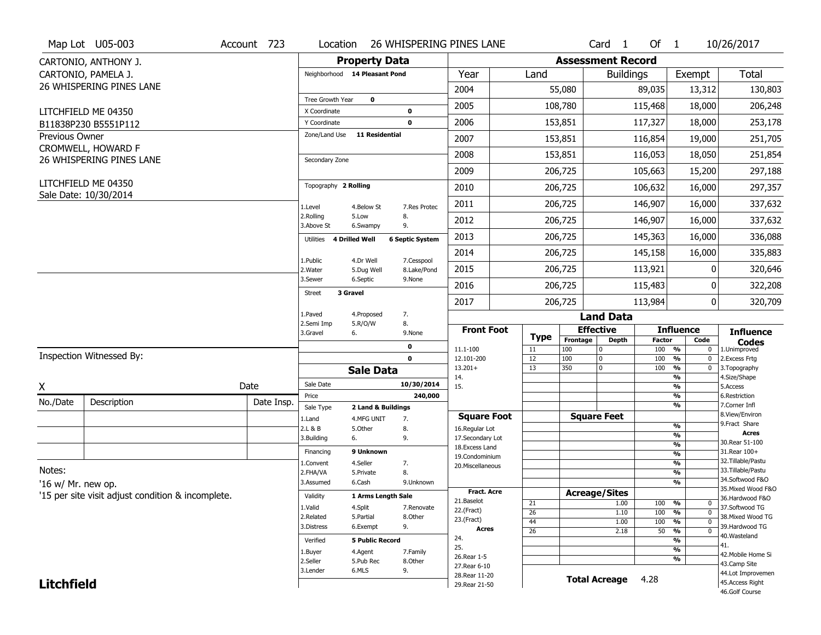|                    | Map Lot U05-003                                   | Account 723 | Location                     |                                  |                           | 26 WHISPERING PINES LANE          |          |            | Card <sub>1</sub>        | Of $1$        |                                                        | 10/26/2017                            |
|--------------------|---------------------------------------------------|-------------|------------------------------|----------------------------------|---------------------------|-----------------------------------|----------|------------|--------------------------|---------------|--------------------------------------------------------|---------------------------------------|
|                    | CARTONIO, ANTHONY J.                              |             |                              | <b>Property Data</b>             |                           |                                   |          |            | <b>Assessment Record</b> |               |                                                        |                                       |
|                    | CARTONIO, PAMELA J.                               |             |                              | Neighborhood 14 Pleasant Pond    |                           | Year                              | Land     |            | <b>Buildings</b>         |               | Exempt                                                 | <b>Total</b>                          |
|                    | 26 WHISPERING PINES LANE                          |             |                              |                                  |                           | 2004                              |          | 55,080     |                          | 89,035        | 13,312                                                 | 130,803                               |
|                    |                                                   |             | Tree Growth Year             | $\mathbf 0$                      |                           | 2005                              |          | 108,780    |                          | 115,468       | 18,000                                                 | 206,248                               |
|                    | LITCHFIELD ME 04350<br>B11838P230 B5551P112       |             | X Coordinate<br>Y Coordinate |                                  | 0<br>0                    | 2006                              |          | 153,851    |                          | 117,327       | 18,000                                                 | 253,178                               |
| Previous Owner     |                                                   |             | Zone/Land Use                | 11 Residential                   |                           | 2007                              |          | 153,851    |                          | 116,854       | 19,000                                                 | 251,705                               |
|                    | CROMWELL, HOWARD F                                |             |                              |                                  |                           |                                   |          |            |                          |               |                                                        |                                       |
|                    | 26 WHISPERING PINES LANE                          |             | Secondary Zone               |                                  |                           | 2008                              |          | 153,851    |                          | 116,053       | 18,050                                                 | 251,854                               |
|                    | LITCHFIELD ME 04350                               |             |                              |                                  |                           | 2009                              |          | 206,725    |                          | 105,663       | 15,200                                                 | 297,188                               |
|                    | Sale Date: 10/30/2014                             |             | Topography 2 Rolling         |                                  |                           | 2010                              |          | 206,725    |                          | 106,632       | 16,000                                                 | 297,357                               |
|                    |                                                   |             | 1.Level                      | 4.Below St                       | 7.Res Protec              | 2011                              |          | 206,725    |                          | 146,907       | 16,000                                                 | 337,632                               |
|                    |                                                   |             | 2.Rolling<br>3.Above St      | 5.Low<br>6.Swampy                | 8.<br>9.                  | 2012                              |          | 206,725    |                          | 146,907       | 16,000                                                 | 337,632                               |
|                    |                                                   |             | Utilities                    | 4 Drilled Well                   | <b>6 Septic System</b>    | 2013                              |          | 206,725    |                          | 145,363       | 16,000                                                 | 336,088                               |
|                    |                                                   |             |                              |                                  |                           | 2014                              |          | 206,725    |                          | 145,158       | 16,000                                                 | 335,883                               |
|                    |                                                   |             | 1.Public<br>2. Water         | 4.Dr Well<br>5.Dug Well          | 7.Cesspool<br>8.Lake/Pond | 2015                              |          | 206,725    |                          | 113,921       | 0                                                      | 320,646                               |
|                    |                                                   |             | 3.Sewer                      | 6.Septic                         | 9.None                    | 2016                              |          | 206,725    |                          | 115,483       | 0                                                      | 322,208                               |
|                    |                                                   |             | <b>Street</b>                | 3 Gravel                         |                           | 2017                              |          | 206,725    |                          | 113,984       | $\overline{0}$                                         | 320,709                               |
|                    |                                                   |             | 1.Paved                      | 4.Proposed                       | 7.                        |                                   |          |            | <b>Land Data</b>         |               |                                                        |                                       |
|                    |                                                   |             | 2.Semi Imp<br>3.Gravel       | 5.R/O/W<br>6.                    | 8.<br>9.None              | <b>Front Foot</b>                 |          |            | <b>Effective</b>         |               | <b>Influence</b>                                       | <b>Influence</b>                      |
|                    |                                                   |             |                              |                                  | 0                         |                                   | Type     | Frontage   | <b>Depth</b>             | <b>Factor</b> | Code                                                   | <b>Codes</b>                          |
|                    | Inspection Witnessed By:                          |             |                              |                                  | 0                         | 11.1-100<br>12.101-200            | 11<br>12 | 100<br>100 | $\Omega$<br>$\mathbf 0$  | 100<br>100    | $\frac{9}{6}$<br>$\bf{0}$<br>$\frac{9}{6}$<br>$\bf{0}$ | 1.Unimproved<br>2.Excess Frtg         |
|                    |                                                   |             |                              | <b>Sale Data</b>                 |                           | $13.201+$                         | 13       | 350        | $\mathbf 0$              | 100           | $\frac{9}{6}$<br>$\bf{0}$                              | 3. Topography                         |
| X                  |                                                   | Date        | Sale Date                    |                                  | 10/30/2014                | 14.<br>15.                        |          |            |                          |               | %<br>$\overline{\frac{9}{6}}$                          | 4.Size/Shape<br>5.Access              |
| No./Date           | Description                                       | Date Insp.  | Price                        |                                  | 240,000                   |                                   |          |            |                          |               | %                                                      | 6.Restriction<br>7.Corner Infl        |
|                    |                                                   |             | Sale Type                    | 2 Land & Buildings<br>4.MFG UNIT | 7.                        | <b>Square Foot</b>                |          |            | <b>Square Feet</b>       |               | $\frac{9}{6}$                                          | 8.View/Environ                        |
|                    |                                                   |             | 1.Land<br>2.L & B            | 5.Other                          | 8.                        | 16.Regular Lot                    |          |            |                          |               | %                                                      | 9.Fract Share                         |
|                    |                                                   |             | 3.Building                   | 6.                               | 9.                        | 17.Secondary Lot                  |          |            |                          |               | %                                                      | <b>Acres</b><br>30. Rear 51-100       |
|                    |                                                   |             | Financing                    | 9 Unknown                        |                           | 18. Excess Land<br>19.Condominium |          |            |                          |               | %<br>%                                                 | 31. Rear 100+                         |
|                    |                                                   |             | 1.Convent                    | 4.Seller                         | 7.                        | 20.Miscellaneous                  |          |            |                          |               | %                                                      | 32. Tillable/Pastu                    |
| Notes:             |                                                   |             | 2.FHA/VA                     | 5.Private                        | 8.                        |                                   |          |            |                          |               | %                                                      | 33.Tillable/Pastu                     |
| '16 w/ Mr. new op. |                                                   |             | 3.Assumed                    | 6.Cash                           | 9.Unknown                 |                                   |          |            |                          |               | %                                                      | 34.Softwood F&O                       |
|                    | '15 per site visit adjust condition & incomplete. |             | Validity                     | 1 Arms Length Sale               |                           | Fract. Acre                       |          |            | <b>Acreage/Sites</b>     |               |                                                        | 35. Mixed Wood F&O<br>36.Hardwood F&O |
|                    |                                                   |             | 1.Valid                      | 4.Split                          | 7.Renovate                | 21.Baselot<br>22.(Fract)          | 21       |            | 1.00                     | 100           | %<br>$\bf{0}$                                          | 37.Softwood TG                        |
|                    |                                                   |             | 2.Related                    | 5.Partial                        | 8.Other                   | 23.(Fract)                        | 26<br>44 |            | 1.10<br>1.00             | 100<br>100    | $\frac{9}{6}$<br>$\mathbf 0$<br>$\mathbf 0$            | 38. Mixed Wood TG                     |
|                    |                                                   |             | 3.Distress                   | 6.Exempt                         | 9.                        | <b>Acres</b>                      | 26       |            | 2.18                     | 50            | %<br>%<br>$\mathbf 0$                                  | 39.Hardwood TG                        |
|                    |                                                   |             | Verified                     | <b>5 Public Record</b>           |                           | 24.                               |          |            |                          |               | %                                                      | 40. Wasteland                         |
|                    |                                                   |             | 1.Buyer                      | 4.Agent                          | 7.Family                  | 25.                               |          |            |                          |               | %                                                      | 41.<br>42. Mobile Home Si             |
|                    |                                                   |             | 2.Seller                     | 5.Pub Rec                        | 8.0ther                   | 26. Rear 1-5                      |          |            |                          |               | $\overline{\frac{9}{6}}$                               | 43.Camp Site                          |
|                    |                                                   |             |                              |                                  |                           |                                   |          |            |                          |               |                                                        |                                       |
|                    |                                                   |             | 3.Lender                     | 6.MLS                            | 9.                        | 27. Rear 6-10                     |          |            |                          |               |                                                        |                                       |
| <b>Litchfield</b>  |                                                   |             |                              |                                  |                           | 28. Rear 11-20<br>29. Rear 21-50  |          |            | <b>Total Acreage</b>     | 4.28          |                                                        | 44.Lot Improvemen<br>45. Access Right |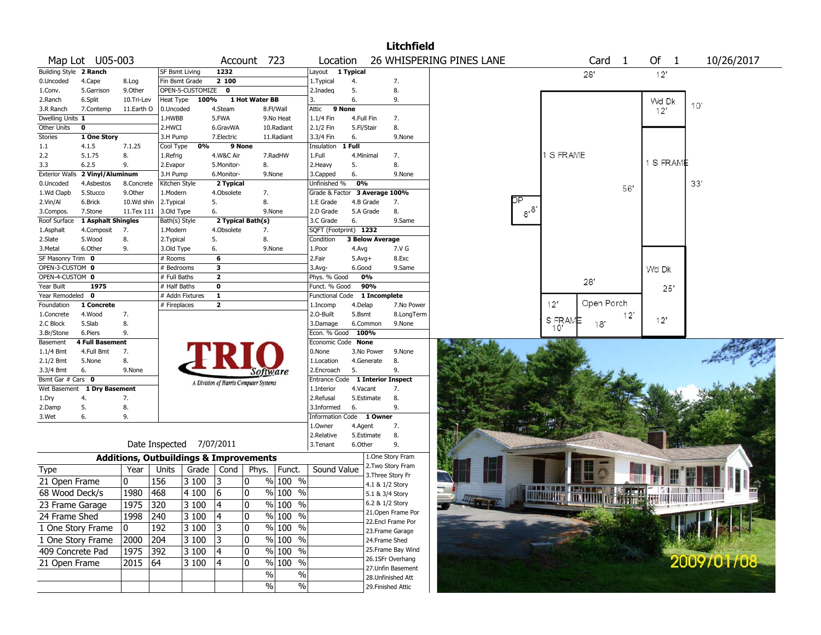|                        |                             |              |                                                   |                         |                                       |                        |              | <b>Litchfield</b>                |                          |                                                       |                |          |            |
|------------------------|-----------------------------|--------------|---------------------------------------------------|-------------------------|---------------------------------------|------------------------|--------------|----------------------------------|--------------------------|-------------------------------------------------------|----------------|----------|------------|
|                        | Map Lot U05-003             |              |                                                   |                         | Account 723                           | Location               |              |                                  | 26 WHISPERING PINES LANE | Card                                                  | $\overline{1}$ | Of 1     | 10/26/2017 |
| Building Style 2 Ranch |                             |              | SF Bsmt Living                                    | 1232                    |                                       | Layout                 | 1 Typical    |                                  |                          | 28'                                                   |                | 12'      |            |
| 0.Uncoded              | 4.Cape                      | 8.Log        | Fin Bsmt Grade                                    | 2 100                   |                                       | 1. Typical             | 4.           | 7.                               |                          |                                                       |                |          |            |
| 1.Conv.                | 5.Garrison                  | 9.Other      | OPEN-5-CUSTOMIZE 0                                |                         |                                       | 2.Inadeg               | 5.           | 8.                               |                          |                                                       |                |          |            |
| 2.Ranch                | 6.Split                     | 10.Tri-Lev   | 100%<br>Heat Type                                 |                         | 1 Hot Water BB                        | 3.                     | 6.           | 9.                               |                          |                                                       |                | Wd Dk    | 10'        |
| 3.R Ranch              | 7.Contemp                   | 11.Earth O   | 0.Uncoded                                         | 4.Steam                 | 8.Fl/Wall                             | Attic                  | 9 None       |                                  |                          |                                                       |                | 12'      |            |
| Dwelling Units 1       |                             |              | 1.HWBB                                            | 5.FWA                   | 9.No Heat                             | $1.1/4$ Fin            | 4.Full Fin   | 7.                               |                          |                                                       |                |          |            |
| Other Units            | $\pmb{0}$                   |              | 2.HWCI                                            | 6.GravWA                | 10.Radiant                            | 2.1/2 Fin              | 5.Fl/Stair   | 8.                               |                          |                                                       |                |          |            |
| Stories                | 1 One Story                 |              | 3.H Pump                                          | 7.Electric              | 11.Radiant                            | 3.3/4 Fin              | 6.           | 9.None                           |                          |                                                       |                |          |            |
| 1.1                    | 4.1.5                       | 7.1.25       | 0%<br>Cool Type                                   |                         | 9 None                                | Insulation             | 1 Full       |                                  |                          |                                                       |                |          |            |
| 2.2                    | 5.1.75                      | 8.           | 1.Refrig                                          | 4.W&C Air               | 7.RadHW                               | 1.Full                 | 4.Minimal    | 7.                               |                          | 1 S FRAME                                             |                | 1 S FRAM |            |
| 3.3                    | 6.2.5                       | 9.           | 2.Evapor                                          | 5.Monitor-              | 8.                                    | 2.Heavy                | 5.           | 8.                               |                          |                                                       |                |          |            |
| <b>Exterior Walls</b>  | 2 Vinyl/Aluminum            |              | 3.H Pump                                          | 6.Monitor-              | 9.None                                | 3.Capped               | 6.           | 9.None                           |                          |                                                       |                |          |            |
| 0.Uncoded              | 4.Asbestos                  | 8.Concrete   | Kitchen Style                                     | 2 Typical               |                                       | Unfinished %           | 0%           |                                  |                          |                                                       | 56'            |          | 33'        |
| 1.Wd Clapb             | 5.Stucco                    | 9.Other      | 1.Modern                                          | 4.Obsolete              | 7.                                    | Grade & Factor         |              | 3 Average 100%                   |                          |                                                       |                |          |            |
| 2.Vin/Al               | 6.Brick                     | 10.Wd shin   | 2. Typical                                        | 5.                      | 8.                                    | 1.E Grade              | 4.B Grade    | 7.                               |                          |                                                       |                |          |            |
| 3.Compos.              | 7.Stone                     | 11.Tex 111   | 3.Old Type                                        | 6.                      | 9.None                                | 2.D Grade              | 5.A Grade    | 8.                               | $8^{8}$                  |                                                       |                |          |            |
| Roof Surface           | 1 Asphalt Shingles          |              | Bath(s) Style                                     |                         | 2 Typical Bath(s)                     | 3.C Grade              | 6.           | 9.Same                           |                          |                                                       |                |          |            |
| 1.Asphalt              | 4.Composit                  | 7.           | 1.Modern                                          | 4.Obsolete              | 7.                                    | SQFT (Footprint) 1232  |              |                                  |                          |                                                       |                |          |            |
| 2.Slate                | 5.Wood                      | 8.           | 2. Typical                                        | 5.                      | 8.                                    | Condition              |              | <b>3 Below Average</b>           |                          |                                                       |                |          |            |
| 3.Metal                | 6.Other                     | 9.           | 3.Old Type                                        | 6.                      | 9.None                                | 1.Poor                 | 4.Avg        | 7.V G                            |                          |                                                       |                |          |            |
| SF Masonry Trim 0      |                             |              | # Rooms                                           | 6                       |                                       | 2.Fair                 | $5.Avg+$     | 8.Exc                            |                          |                                                       |                |          |            |
| OPEN-3-CUSTOM 0        |                             |              | # Bedrooms                                        | $\overline{\mathbf{3}}$ |                                       | 3.Avg-                 | 6.Good       | 9.Same                           |                          |                                                       |                | Wd Dk    |            |
| OPEN-4-CUSTOM 0        |                             |              | # Full Baths                                      | $\overline{2}$          |                                       | Phys. % Good           | 0%           |                                  |                          | 28'                                                   |                |          |            |
| Year Built             | 1975                        |              | # Half Baths                                      | $\overline{\mathbf{0}}$ |                                       | Funct. % Good          | 90%          |                                  |                          |                                                       |                | 25'      |            |
| Year Remodeled 0       |                             |              | # Addn Fixtures                                   | $\overline{\mathbf{1}}$ |                                       | <b>Functional Code</b> |              | 1 Incomplete                     |                          |                                                       |                |          |            |
| Foundation             | 1 Concrete                  |              | # Fireplaces                                      | $\overline{2}$          |                                       | 1.Incomp               | 4.Delap      | 7.No Power                       |                          | Open Porch<br>12'                                     |                |          |            |
| 1.Concrete             | 4.Wood                      | 7.           |                                                   |                         |                                       | 2.O-Built              | 5.Bsmt       | 8.LongTerm                       |                          | S FRAME                                               | $12^{\circ}$   | 12'      |            |
| 2.C Block              | 5.Slab                      | 8.           |                                                   |                         |                                       | 3.Damage               | 6.Common     | 9.None                           |                          | 18'<br>10'                                            |                |          |            |
| 3.Br/Stone             | 6.Piers                     | 9.           |                                                   |                         |                                       | Econ. % Good           | 100%         |                                  |                          |                                                       |                |          |            |
| Basement               | <b>4 Full Basement</b>      |              |                                                   |                         |                                       | Economic Code          | <b>None</b>  |                                  |                          |                                                       |                |          |            |
| $1.1/4$ Bmt            | 4.Full Bmt                  | 7.           |                                                   |                         |                                       | 0.None                 | 3.No Power   | 9.None                           |                          |                                                       |                |          |            |
| 2.1/2 Bmt              | 5.None                      | 8.           |                                                   |                         |                                       | 1.Location             | 4.Generate   | 8.                               |                          |                                                       |                |          |            |
| 3.3/4 Bmt              | 6.                          | 9.None       |                                                   |                         | Software                              | 2.Encroach             | 5.           | 9.                               |                          |                                                       |                |          |            |
| Bsmt Gar # Cars 0      |                             |              |                                                   |                         | A Division of Harris Computer Systems |                        |              | Entrance Code 1 Interior Inspect |                          |                                                       |                |          |            |
|                        | Wet Basement 1 Dry Basement |              |                                                   |                         |                                       | 1.Interior             | 4.Vacant     | 7.                               |                          |                                                       |                |          |            |
| 1.Dry                  | 4.                          | 7.           |                                                   |                         |                                       | 2.Refusal              | 5.Estimate   | 8.                               |                          |                                                       |                |          |            |
| 2.Damp                 | 5.                          | 8.           |                                                   |                         |                                       | 3.Informed             | 6.           | 9.                               |                          |                                                       |                |          |            |
| 3.Wet                  | 6.                          | 9.           |                                                   |                         |                                       | Information            | Code 1 Owner |                                  |                          |                                                       |                |          |            |
|                        |                             |              |                                                   |                         |                                       | 1.0wner                | 4.Agent      | 7.                               |                          |                                                       |                |          |            |
|                        |                             |              |                                                   |                         |                                       | 2.Relative             | 5.Estimate   | 8.                               |                          |                                                       |                |          |            |
|                        |                             |              | Date Inspected 7/07/2011                          |                         |                                       | 3. Tenant              | 6.Other      | 9.<br>1.One Story Fram           |                          |                                                       |                |          |            |
|                        |                             |              | <b>Additions, Outbuildings &amp; Improvements</b> |                         |                                       | Sound Value            |              | 2. Two Story Fram                |                          |                                                       |                |          |            |
| <b>Type</b>            |                             | Year         | Units<br>Grade                                    | Cond                    | Phys.<br>Funct.                       |                        |              | 3. Three Story Fr                |                          |                                                       |                |          |            |
| 21 Open Frame          |                             | $\mathbf{0}$ | 156<br>3100                                       | 13                      | 10<br>$%100$ %                        |                        |              | 4.1 & 1/2 Story                  |                          |                                                       |                |          |            |
| 68 Wood Deck/s         |                             | 1980         | 468<br>4 100                                      | 16                      | 10<br>$%100$ %                        |                        |              | 5.1 & 3/4 Story                  |                          | M LELLEL TEMPE                                        |                |          |            |
| 23 Frame Garage        |                             | 1975 320     | 3100                                              | 4                       | $\frac{9}{6}$ 100 %<br>0              |                        |              | 6.2 & 1/2 Story                  |                          | <b>MARITIME TELEVISION CONTRACT AND INTERNATIONAL</b> |                |          |            |
|                        |                             |              |                                                   |                         | $%100$ %                              |                        |              | 21. Open Frame Por               |                          |                                                       |                |          |            |
| 24 Frame Shed          |                             | 1998         | 240<br>3100                                       | 4                       | 10                                    |                        |              | 22.Encl Frame Por                |                          |                                                       |                |          |            |
| 1 One Story Frame      |                             | 10           | 192<br> 3 100                                     | 3                       | 10<br>% 100 %                         |                        |              | 23. Frame Garage                 |                          |                                                       |                |          |            |
| 1 One Story Frame      |                             | 2000         | 204<br>$ 3100\rangle$                             | 3                       | % 100 %<br>10                         |                        |              | 24.Frame Shed                    |                          |                                                       |                |          |            |
| 409 Concrete Pad       |                             | 1975         | 392<br> 3 100                                     | 4                       | $%100$ %<br>0                         |                        |              | 25. Frame Bay Wind               |                          |                                                       |                |          |            |
|                        |                             |              |                                                   |                         |                                       |                        |              | 26.1SFr Overhang                 |                          |                                                       |                |          | 2009/01/08 |
| 21 Open Frame          |                             | 2015         | 64<br> 3 100                                      | 4                       | % 100 %<br>10                         |                        |              | 27.Unfin Basement                |                          |                                                       |                |          |            |
|                        |                             |              |                                                   |                         | %<br>$\%$                             |                        |              | 28. Unfinished Att               |                          |                                                       |                |          |            |
|                        |                             |              |                                                   |                         | $\sqrt{6}$<br>$\sqrt{6}$              |                        |              | 29. Finished Attic               |                          |                                                       |                |          |            |
|                        |                             |              |                                                   |                         |                                       |                        |              |                                  |                          |                                                       |                |          |            |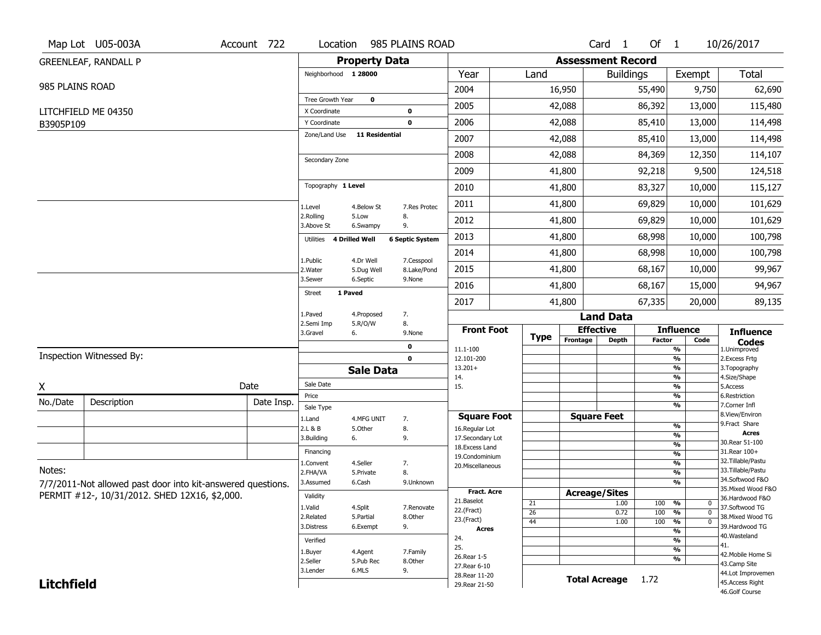|                   | Map Lot U05-003A                                            | Account 722 | Location                         |                       | 985 PLAINS ROAD        |                                      |                 |                              | Card <sub>1</sub> | Of $1$        |                                                             | 10/26/2017                         |
|-------------------|-------------------------------------------------------------|-------------|----------------------------------|-----------------------|------------------------|--------------------------------------|-----------------|------------------------------|-------------------|---------------|-------------------------------------------------------------|------------------------------------|
|                   | <b>GREENLEAF, RANDALL P</b>                                 |             |                                  | <b>Property Data</b>  |                        |                                      |                 | <b>Assessment Record</b>     |                   |               |                                                             |                                    |
|                   |                                                             |             | Neighborhood 1 28000             |                       |                        | Year                                 | Land            |                              | <b>Buildings</b>  |               | Exempt                                                      | Total                              |
| 985 PLAINS ROAD   |                                                             |             |                                  |                       |                        | 2004                                 |                 | 16,950                       |                   | 55,490        | 9,750                                                       | 62,690                             |
|                   | LITCHFIELD ME 04350                                         |             | Tree Growth Year<br>X Coordinate | $\mathbf 0$           | 0                      | 2005                                 |                 | 42,088                       |                   | 86,392        | 13,000                                                      | 115,480                            |
| B3905P109         |                                                             |             | Y Coordinate                     |                       | $\mathbf 0$            | 2006                                 |                 | 42,088                       |                   | 85,410        | 13,000                                                      | 114,498                            |
|                   |                                                             |             | Zone/Land Use                    | <b>11 Residential</b> |                        | 2007                                 |                 | 42,088                       |                   | 85,410        | 13,000                                                      | 114,498                            |
|                   |                                                             |             |                                  |                       |                        | 2008                                 |                 | 42,088                       |                   | 84,369        | 12,350                                                      | 114,107                            |
|                   |                                                             |             | Secondary Zone                   |                       |                        | 2009                                 |                 | 41,800                       |                   | 92,218        | 9,500                                                       | 124,518                            |
|                   |                                                             |             | Topography 1 Level               |                       |                        | 2010                                 |                 | 41,800                       |                   | 83,327        | 10,000                                                      | 115,127                            |
|                   |                                                             |             | 1.Level                          | 4.Below St            | 7.Res Protec           | 2011                                 |                 | 41,800                       |                   | 69,829        | 10,000                                                      | 101,629                            |
|                   |                                                             |             | 2.Rolling<br>3.Above St          | 5.Low<br>6.Swampy     | 8.<br>9.               | 2012                                 |                 | 41,800                       |                   | 69,829        | 10,000                                                      | 101,629                            |
|                   |                                                             |             | Utilities                        | 4 Drilled Well        | <b>6 Septic System</b> | 2013                                 |                 | 41,800                       |                   | 68,998        | 10,000                                                      | 100,798                            |
|                   |                                                             |             | 1.Public                         | 4.Dr Well             | 7.Cesspool             | 2014                                 |                 | 41,800                       |                   | 68,998        | 10,000                                                      | 100,798                            |
|                   |                                                             |             | 2. Water                         | 5.Dug Well            | 8.Lake/Pond            | 2015                                 |                 | 41,800                       |                   | 68,167        | 10,000                                                      | 99,967                             |
|                   |                                                             |             | 3.Sewer                          | 6.Septic              | 9.None                 | 2016                                 |                 | 41,800                       |                   | 68,167        | 15,000                                                      | 94,967                             |
|                   |                                                             |             | 1 Paved<br><b>Street</b>         |                       |                        | 2017                                 |                 | 41,800                       |                   | 67,335        | 20,000                                                      | 89,135                             |
|                   |                                                             |             | 1.Paved<br>2.Semi Imp            | 4.Proposed<br>5.R/O/W | 7.<br>8.               |                                      |                 |                              | <b>Land Data</b>  |               |                                                             |                                    |
|                   |                                                             |             | 3.Gravel                         | 6.                    | 9.None                 | <b>Front Foot</b>                    | <b>Type</b>     | <b>Effective</b><br>Frontage |                   | <b>Factor</b> | <b>Influence</b><br>Code                                    | <b>Influence</b>                   |
|                   |                                                             |             |                                  |                       | 0                      | 11.1-100                             |                 |                              | Depth             |               | %                                                           | <b>Codes</b><br>1.Unimproved       |
|                   | Inspection Witnessed By:                                    |             |                                  | <b>Sale Data</b>      | 0                      | 12.101-200<br>$13.201+$              |                 |                              |                   |               | $\frac{9}{6}$<br>%                                          | 2. Excess Frtg<br>3. Topography    |
|                   |                                                             | Date        | Sale Date                        |                       |                        | 14.                                  |                 |                              |                   |               | %                                                           | 4.Size/Shape                       |
| X                 |                                                             |             | Price                            |                       |                        | 15.                                  |                 |                              |                   |               | $\frac{9}{6}$<br>%                                          | 5.Access<br>6.Restriction          |
| No./Date          | Description                                                 | Date Insp.  | Sale Type                        |                       |                        |                                      |                 |                              |                   |               | %                                                           | 7.Corner Infl<br>8.View/Environ    |
|                   |                                                             |             | 1.Land                           | 4.MFG UNIT            | 7.                     | <b>Square Foot</b><br>16.Regular Lot |                 | <b>Square Feet</b>           |                   |               | $\frac{9}{6}$                                               | 9.Fract Share                      |
|                   |                                                             |             | 2.L & B<br>3.Building            | 5.0ther<br>6.         | 8.<br>9.               | 17.Secondary Lot                     |                 |                              |                   |               | %                                                           | <b>Acres</b>                       |
|                   |                                                             |             | Financing                        |                       |                        | 18.Excess Land                       |                 |                              |                   |               | $\frac{9}{6}$                                               | 30. Rear 51-100<br>31.Rear 100+    |
|                   |                                                             |             | 1.Convent                        | 4.Seller              | 7.                     | 19.Condominium                       |                 |                              |                   |               | %<br>$\frac{9}{6}$                                          | 32.Tillable/Pastu                  |
| Notes:            |                                                             |             | 2.FHA/VA                         | 5.Private             | 8.                     | 20.Miscellaneous                     |                 |                              |                   |               | %                                                           | 33. Tillable/Pastu                 |
|                   | 7/7/2011-Not allowed past door into kit-answered questions. |             | 3.Assumed                        | 6.Cash                | 9.Unknown              |                                      |                 |                              |                   |               | %                                                           | 34.Softwood F&O                    |
|                   | PERMIT #12-, 10/31/2012. SHED 12X16, \$2,000.               |             | Validity                         |                       |                        | <b>Fract. Acre</b>                   |                 | <b>Acreage/Sites</b>         |                   |               |                                                             | 35. Mixed Wood F&O                 |
|                   |                                                             |             | 1.Valid                          | 4.Split               | 7.Renovate             | 21.Baselot                           | 21              |                              | 1.00              | 100           | %<br>0                                                      | 36.Hardwood F&O<br>37.Softwood TG  |
|                   |                                                             |             | 2.Related                        | 5.Partial             | 8.Other                | 22.(Fract)<br>23.(Fract)             | $\overline{26}$ |                              | 0.72              | 100           | $\overline{\mathfrak{o}}$<br>%                              | 38. Mixed Wood TG                  |
|                   |                                                             |             | 3.Distress                       | 6.Exempt              | 9.                     | <b>Acres</b>                         | 44              |                              | 1.00              | 100           | $\frac{9}{6}$<br>$\overline{0}$<br>$\overline{\frac{9}{6}}$ | 39.Hardwood TG                     |
|                   |                                                             |             | Verified                         |                       |                        | 24.                                  |                 |                              |                   |               | $\overline{\frac{9}{6}}$                                    | 40. Wasteland                      |
|                   |                                                             |             | 1.Buyer                          | 4.Agent               | 7.Family               | 25.                                  |                 |                              |                   |               | $\overline{\frac{9}{6}}$                                    | 41.                                |
|                   |                                                             |             | 2.Seller                         | 5.Pub Rec             | 8.Other                | 26. Rear 1-5                         |                 |                              |                   |               | $\overline{\mathcal{A}_0}$                                  | 42. Mobile Home Si<br>43.Camp Site |
|                   |                                                             |             | 3.Lender                         | 6.MLS                 | 9.                     | 27. Rear 6-10<br>28. Rear 11-20      |                 |                              |                   |               |                                                             | 44.Lot Improvemen                  |
|                   |                                                             |             |                                  |                       |                        |                                      |                 |                              |                   |               |                                                             |                                    |
| <b>Litchfield</b> |                                                             |             |                                  |                       |                        | 29. Rear 21-50                       |                 | <b>Total Acreage</b>         |                   | 1.72          |                                                             | 45.Access Right                    |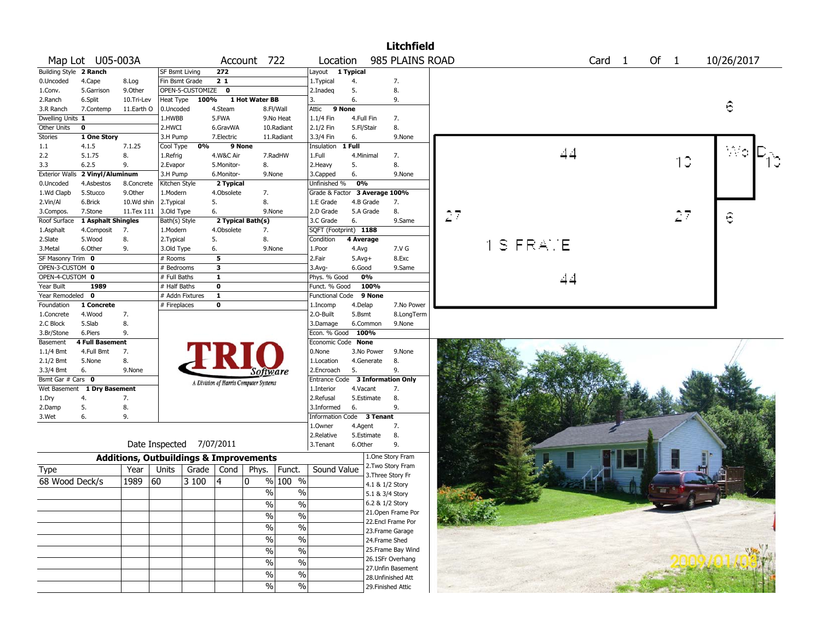|                        |                                 |            |                                                   |                  |                         |                                       |                          |                               |            |            | <b>Litchfield</b>         |         |        |      |    |            |
|------------------------|---------------------------------|------------|---------------------------------------------------|------------------|-------------------------|---------------------------------------|--------------------------|-------------------------------|------------|------------|---------------------------|---------|--------|------|----|------------|
|                        | Map Lot U05-003A                |            |                                                   |                  |                         | Account 722                           |                          | Location                      |            |            | 985 PLAINS ROAD           |         | Card 1 | Of 1 |    | 10/26/2017 |
| Building Style 2 Ranch |                                 |            | SF Bsmt Living                                    |                  | 272                     |                                       |                          | Layout                        | 1 Typical  |            |                           |         |        |      |    |            |
| 0.Uncoded              | 4.Cape                          | 8.Log      | Fin Bsmt Grade                                    |                  | 21                      |                                       |                          | 1. Typical                    | 4.         |            | 7.                        |         |        |      |    |            |
| 1.Conv.                | 5.Garrison                      | 9.Other    |                                                   | OPEN-5-CUSTOMIZE | $\mathbf 0$             |                                       |                          | 2.Inadeq                      | 5.         |            | 8.                        |         |        |      |    |            |
| 2.Ranch                | 6.Split                         | 10.Tri-Lev | Heat Type                                         | 100%             |                         | 1 Hot Water BB                        |                          | 3.                            | 6.         |            | 9.                        |         |        |      |    |            |
| 3.R Ranch              | 7.Contemp                       | 11.Earth O | 0.Uncoded                                         |                  | 4.Steam                 |                                       | 8.Fl/Wall                | Attic                         | 9 None     |            |                           |         |        |      |    | 6          |
| Dwelling Units 1       |                                 |            | 1.HWBB                                            |                  | 5.FWA                   |                                       | 9.No Heat                | 1.1/4 Fin                     | 4.Full Fin |            | 7.                        |         |        |      |    |            |
| Other Units            | $\mathbf 0$                     |            | 2.HWCI                                            |                  | 6.GravWA                |                                       | 10.Radiant               | 2.1/2 Fin                     |            | 5.Fl/Stair | 8.                        |         |        |      |    |            |
| <b>Stories</b>         | 1 One Story                     |            | 3.H Pump                                          |                  | 7.Electric              |                                       | 11.Radiant               | 3.3/4 Fin                     | 6.         |            | 9.None                    |         |        |      |    |            |
| $1.1\,$                | 4.1.5                           | 7.1.25     | Cool Type                                         | 0%               |                         | 9 None                                |                          | Insulation 1 Full             |            |            |                           |         |        |      |    |            |
| 2.2                    | 5.1.75                          | 8.         | 1.Refrig                                          |                  | 4.W&C Air               |                                       | 7.RadHW                  | 1.Full                        |            | 4.Minimal  | 7.                        | 44      |        |      |    | Wo         |
| 3.3                    | 6.2.5                           | 9.         | 2.Evapor                                          |                  | 5.Monitor-              | 8.                                    |                          | 2. Heavy                      | 5.         |            | 8.                        |         |        |      | 10 |            |
|                        | Exterior Walls 2 Vinyl/Aluminum |            | 3.H Pump                                          |                  | 6.Monitor-              |                                       | 9.None                   | 3.Capped                      | 6.         |            | 9.None                    |         |        |      |    |            |
| 0.Uncoded              | 4.Asbestos                      | 8.Concrete | Kitchen Style                                     |                  | 2 Typical               |                                       |                          | Unfinished %                  | 0%         |            |                           |         |        |      |    |            |
| 1.Wd Clapb             | 5.Stucco                        | 9.Other    | 1.Modern                                          |                  | 4.Obsolete              | 7.                                    |                          | Grade & Factor 3 Average 100% |            |            |                           |         |        |      |    |            |
| 2.Vin/Al               | 6.Brick                         | 10.Wd shin | 2. Typical                                        |                  | 5.                      | 8.                                    |                          | 1.E Grade                     |            | 4.B Grade  | 7.                        |         |        |      |    |            |
| 3.Compos.              | 7.Stone                         | 11.Tex 111 | 3.Old Type                                        |                  | 6.                      |                                       | 9.None                   | 2.D Grade                     |            | 5.A Grade  | 8.                        |         |        |      |    |            |
| Roof Surface           | 1 Asphalt Shingles              |            | Bath(s) Style                                     |                  |                         | 2 Typical Bath(s)                     |                          | 3.C Grade                     | 6.         |            | 9.Same                    | 27      |        |      | 27 | 6          |
| 1.Asphalt              | 4.Composit                      | 7.         | 1.Modern                                          |                  | 4.Obsolete              | 7.                                    |                          | SQFT (Footprint) 1188         |            |            |                           |         |        |      |    |            |
| 2.Slate                | 5.Wood                          | 8.         | 2. Typical                                        |                  | 5.                      | 8.                                    |                          | Condition                     | 4 Average  |            |                           |         |        |      |    |            |
| 3.Metal                | 6.Other                         | 9.         | 3.Old Type                                        |                  | 6.                      |                                       | 9.None                   | 1.Poor                        | 4.Avg      |            | 7.V G                     | S FRANE |        |      |    |            |
| SF Masonry Trim 0      |                                 |            |                                                   |                  | 5                       |                                       |                          |                               |            |            |                           |         |        |      |    |            |
|                        |                                 |            | # Rooms                                           |                  |                         |                                       |                          | 2.Fair                        | $5.Avg+$   |            | 8.Exc                     |         |        |      |    |            |
| OPEN-3-CUSTOM 0        |                                 |            | # Bedrooms                                        |                  | $\overline{\mathbf{3}}$ |                                       |                          | 3.Avg-                        | 6.Good     |            | 9.Same                    |         |        |      |    |            |
| OPEN-4-CUSTOM 0        |                                 |            | # Full Baths                                      |                  | $\mathbf{1}$            |                                       |                          | Phys. % Good                  |            | 0%         |                           | 44      |        |      |    |            |
| Year Built             | 1989                            |            | # Half Baths                                      |                  | $\mathbf 0$             |                                       |                          | Funct. % Good                 |            | 100%       |                           |         |        |      |    |            |
| Year Remodeled 0       |                                 |            | # Addn Fixtures                                   |                  | $\mathbf{1}$            |                                       |                          | Functional Code               |            | 9 None     |                           |         |        |      |    |            |
| Foundation             | 1 Concrete                      |            | # Fireplaces                                      |                  | 0                       |                                       |                          | 1.Incomp                      | 4.Delap    |            | 7.No Power                |         |        |      |    |            |
| 1.Concrete             | 4.Wood                          | 7.         |                                                   |                  |                         |                                       |                          | 2.O-Built                     | 5.Bsmt     |            | 8.LongTerm                |         |        |      |    |            |
| 2.C Block              | 5.Slab                          | 8.         |                                                   |                  |                         |                                       |                          | 3.Damage                      |            | 6.Common   | 9.None                    |         |        |      |    |            |
| 3.Br/Stone             | 6.Piers                         | 9.         |                                                   |                  |                         |                                       |                          | Econ. % Good                  |            | 100%       |                           |         |        |      |    |            |
| Basement               | <b>4 Full Basement</b>          |            |                                                   |                  |                         |                                       |                          | Economic Code None            |            |            |                           |         |        |      |    |            |
| 1.1/4 Bmt              | 4.Full Bmt                      | 7.         |                                                   |                  |                         |                                       |                          | 0.None                        |            | 3.No Power | 9.None                    |         |        |      |    |            |
| 2.1/2 Bmt              | 5.None                          | 8.         |                                                   |                  |                         |                                       |                          | 1.Location                    |            | 4.Generate | 8.                        |         |        |      |    |            |
| 3.3/4 Bmt              | 6.                              | 9.None     |                                                   |                  |                         | Software                              |                          | 2.Encroach                    | 5.         |            | 9.                        |         |        |      |    |            |
| Bsmt Gar # Cars 0      |                                 |            |                                                   |                  |                         | A Division of Harris Computer Systems |                          | Entrance Code                 |            |            | <b>3 Information Only</b> |         |        |      |    |            |
| Wet Basement           | 1 Dry Basement                  |            |                                                   |                  |                         |                                       |                          | 1.Interior                    | 4.Vacant   |            | 7.                        |         |        |      |    |            |
| 1.Dry                  | 4.                              | 7.         |                                                   |                  |                         |                                       |                          | 2.Refusal                     |            | 5.Estimate | 8.                        |         |        |      |    |            |
| 2.Damp                 | 5.                              | 8.         |                                                   |                  |                         |                                       |                          | 3.Informed                    | 6.         |            | 9.                        |         |        |      |    |            |
| 3.Wet                  | 6.                              | 9.         |                                                   |                  |                         |                                       |                          | <b>Information Code</b>       |            | 3 Tenant   |                           |         |        |      |    |            |
|                        |                                 |            |                                                   |                  |                         |                                       |                          | 1.0wner                       | 4.Agent    |            | 7.                        |         |        |      |    |            |
|                        |                                 |            |                                                   |                  |                         |                                       |                          | 2.Relative                    |            | 5.Estimate | 8.                        |         |        |      |    |            |
|                        |                                 |            | Date Inspected 7/07/2011                          |                  |                         |                                       |                          | 3.Tenant                      | 6.Other    |            | 9.                        |         |        |      |    |            |
|                        |                                 |            | <b>Additions, Outbuildings &amp; Improvements</b> |                  |                         |                                       |                          |                               |            |            | 1.One Story Fram          |         |        |      |    |            |
| Type                   |                                 | Year       | Units                                             | Grade            | Cond                    | Phys.                                 | Funct.                   | Sound Value                   |            |            | 2.Two Story Fram          |         |        |      |    |            |
| 68 Wood Deck/s         |                                 | 1989       | 60                                                | 3 100            | 14                      | 0                                     | $%100$ %                 |                               |            |            | 3. Three Story Fr         |         |        |      |    |            |
|                        |                                 |            |                                                   |                  |                         |                                       |                          |                               |            |            | 4.1 & 1/2 Story           |         |        |      |    |            |
|                        |                                 |            |                                                   |                  |                         | %                                     | $\%$                     |                               |            |            | 5.1 & 3/4 Story           |         |        |      |    |            |
|                        |                                 |            |                                                   |                  |                         | $\%$                                  | $\overline{\frac{0}{6}}$ |                               |            |            | 6.2 & 1/2 Story           |         |        |      |    |            |
|                        |                                 |            |                                                   |                  |                         | $\%$                                  | $\overline{\frac{0}{6}}$ |                               |            |            | 21. Open Frame Por        |         |        |      |    |            |
|                        |                                 |            |                                                   |                  |                         |                                       |                          |                               |            |            | 22.Encl Frame Por         |         |        |      |    |            |
|                        |                                 |            |                                                   |                  |                         | $\%$                                  | $\%$                     |                               |            |            | 23. Frame Garage          |         |        |      |    |            |
|                        |                                 |            |                                                   |                  |                         | $\%$                                  | $\overline{\frac{0}{6}}$ |                               |            |            | 24.Frame Shed             |         |        |      |    |            |
|                        |                                 |            |                                                   |                  |                         | $\%$                                  | $\%$                     |                               |            |            | 25. Frame Bay Wind        |         |        |      |    |            |
|                        |                                 |            |                                                   |                  |                         |                                       |                          |                               |            |            | 26.1SFr Overhang          |         |        |      |    |            |
|                        |                                 |            |                                                   |                  |                         | $\%$                                  | $\overline{\frac{0}{6}}$ |                               |            |            | 27.Unfin Basement         |         |        |      |    |            |
|                        |                                 |            |                                                   |                  |                         | $\%$                                  | $\frac{1}{2}$            |                               |            |            | 28.Unfinished Att         |         |        |      |    |            |
|                        |                                 |            |                                                   |                  |                         | %                                     | $\frac{0}{6}$            |                               |            |            | 29. Finished Attic        |         |        |      |    |            |
|                        |                                 |            |                                                   |                  |                         |                                       |                          |                               |            |            |                           |         |        |      |    |            |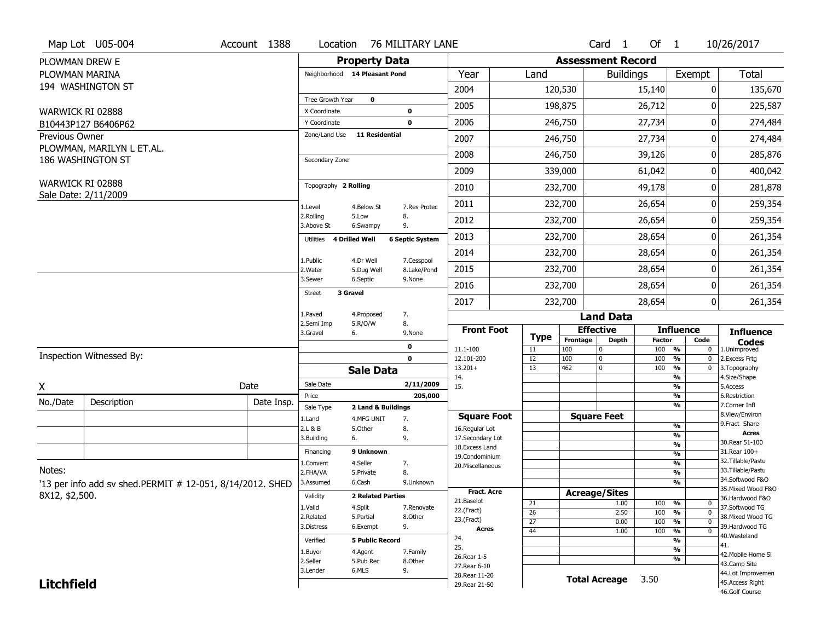|                       | Map Lot U05-004                                           | Account 1388 | Location                     |                               | 76 MILITARY LANE       |                                      |                 |                 | Card <sub>1</sub>           | Of $1$               |                                | 10/26/2017                           |
|-----------------------|-----------------------------------------------------------|--------------|------------------------------|-------------------------------|------------------------|--------------------------------------|-----------------|-----------------|-----------------------------|----------------------|--------------------------------|--------------------------------------|
| PLOWMAN DREW E        |                                                           |              |                              | <b>Property Data</b>          |                        |                                      |                 |                 | <b>Assessment Record</b>    |                      |                                |                                      |
| PLOWMAN MARINA        |                                                           |              |                              | Neighborhood 14 Pleasant Pond |                        | Year                                 | Land            |                 | <b>Buildings</b>            |                      | Exempt                         | <b>Total</b>                         |
|                       | 194 WASHINGTON ST                                         |              |                              |                               |                        | 2004                                 |                 | 120,530         |                             | 15,140               | 0                              | 135,670                              |
|                       |                                                           |              | Tree Growth Year             | $\mathbf 0$                   |                        | 2005                                 |                 | 198,875         |                             | 26,712               | ŋ                              | 225,587                              |
| WARWICK RI 02888      | B10443P127 B6406P62                                       |              | X Coordinate<br>Y Coordinate |                               | 0<br>$\mathbf 0$       | 2006                                 |                 | 246,750         |                             | 27,734               | 0                              | 274,484                              |
| <b>Previous Owner</b> |                                                           |              | Zone/Land Use                | <b>11 Residential</b>         |                        | 2007                                 |                 | 246,750         |                             | 27,734               | 0                              | 274,484                              |
|                       | PLOWMAN, MARILYN L ET.AL.                                 |              |                              |                               |                        |                                      |                 |                 |                             |                      |                                |                                      |
|                       | 186 WASHINGTON ST                                         |              | Secondary Zone               |                               |                        | 2008                                 |                 | 246,750         |                             | 39,126               | 0                              | 285,876                              |
|                       |                                                           |              |                              |                               |                        | 2009                                 |                 | 339,000         |                             | 61,042               | 0                              | 400,042                              |
| WARWICK RI 02888      | Sale Date: 2/11/2009                                      |              | Topography 2 Rolling         |                               |                        | 2010                                 |                 | 232,700         |                             | 49,178               | 0                              | 281,878                              |
|                       |                                                           |              | 1.Level                      | 4.Below St                    | 7.Res Protec           | 2011                                 |                 | 232,700         |                             | 26,654               | 0                              | 259,354                              |
|                       |                                                           |              | 2.Rolling<br>3.Above St      | 5.Low<br>6.Swampy             | 8.<br>9.               | 2012                                 |                 | 232,700         |                             | 26,654               | 0                              | 259,354                              |
|                       |                                                           |              | Utilities                    | 4 Drilled Well                | <b>6 Septic System</b> | 2013                                 |                 | 232,700         |                             | 28,654               | 0                              | 261,354                              |
|                       |                                                           |              | 1.Public                     | 4.Dr Well                     | 7.Cesspool             | 2014                                 |                 | 232,700         |                             | 28,654               | 0                              | 261,354                              |
|                       |                                                           |              | 2. Water                     | 5.Dug Well                    | 8.Lake/Pond            | 2015                                 |                 | 232,700         |                             | 28,654               | 0                              | 261,354                              |
|                       |                                                           |              | 3.Sewer                      | 6.Septic                      | 9.None                 | 2016                                 |                 | 232,700         |                             | 28,654               | 0                              | 261,354                              |
|                       |                                                           |              | <b>Street</b>                | 3 Gravel                      |                        | 2017                                 |                 | 232,700         |                             | 28,654               | 0                              | 261,354                              |
|                       |                                                           |              | 1.Paved                      | 4.Proposed                    | 7.                     |                                      |                 |                 | <b>Land Data</b>            |                      |                                |                                      |
|                       |                                                           |              | 2.Semi Imp<br>3.Gravel       | 5.R/O/W<br>6.                 | 8.<br>9.None           | <b>Front Foot</b>                    | Type            |                 | <b>Effective</b>            |                      | <b>Influence</b>               | <b>Influence</b>                     |
|                       |                                                           |              |                              |                               | 0                      | 11.1-100                             | 11              | Frontage<br>100 | <b>Depth</b><br>$\mathbf 0$ | <b>Factor</b><br>100 | Code<br>%<br>$\bf{0}$          | <b>Codes</b><br>1.Unimproved         |
|                       | Inspection Witnessed By:                                  |              |                              |                               | $\mathbf 0$            | 12.101-200                           | 12              | 100             | 0                           | 100                  | %<br>$\mathbf 0$               | 2. Excess Frtg                       |
|                       |                                                           |              |                              | <b>Sale Data</b>              |                        |                                      |                 |                 | $\mathbf 0$                 | 100                  |                                | 3. Topography                        |
| X                     |                                                           |              |                              |                               |                        | $13.201+$                            | 13              | 462             |                             |                      | %<br>$\mathbf 0$<br>%          |                                      |
|                       |                                                           | Date         | Sale Date                    |                               | 2/11/2009              | 14.<br>15.                           |                 |                 |                             |                      | %                              | 4.Size/Shape<br>5.Access             |
| No./Date              | Description                                               | Date Insp.   | Price                        |                               | 205,000                |                                      |                 |                 |                             |                      | %                              | 6.Restriction                        |
|                       |                                                           |              | Sale Type                    | 2 Land & Buildings            |                        |                                      |                 |                 |                             |                      | %                              | 7.Corner Infl<br>8.View/Environ      |
|                       |                                                           |              | 1.Land<br>2.L & B            | 4.MFG UNIT<br>5.Other         | 7.<br>8.               | <b>Square Foot</b><br>16.Regular Lot |                 |                 | <b>Square Feet</b>          |                      | $\frac{9}{6}$                  | 9. Fract Share                       |
|                       |                                                           |              | 3.Building                   | 6.                            | 9.                     | 17.Secondary Lot                     |                 |                 |                             |                      | %                              | <b>Acres</b><br>30. Rear 51-100      |
|                       |                                                           |              | Financing                    | 9 Unknown                     |                        | 18. Excess Land                      |                 |                 |                             |                      | $\frac{9}{6}$                  | 31. Rear 100+                        |
|                       |                                                           |              | 1.Convent                    | 4.Seller                      | 7.                     | 19.Condominium                       |                 |                 |                             |                      | $\frac{9}{6}$<br>$\frac{9}{6}$ | 32. Tillable/Pastu                   |
| Notes:                |                                                           |              | 2.FHA/VA                     | 5.Private                     | 8.                     | 20.Miscellaneous                     |                 |                 |                             |                      | $\frac{9}{6}$                  | 33. Tillable/Pastu                   |
|                       | '13 per info add sv shed.PERMIT # 12-051, 8/14/2012. SHED |              | 3.Assumed                    | 6.Cash                        | 9.Unknown              |                                      |                 |                 |                             |                      | %                              | 34.Softwood F&O                      |
|                       |                                                           |              | Validity                     | <b>2 Related Parties</b>      |                        | Fract. Acre                          |                 |                 | <b>Acreage/Sites</b>        |                      |                                | 35. Mixed Wood F&O                   |
| 8X12, \$2,500.        |                                                           |              |                              |                               |                        | 21.Baselot                           | 21              |                 | 1.00                        | 100                  | %<br>$\mathbf 0$               | 36.Hardwood F&O                      |
|                       |                                                           |              | 1.Valid<br>2.Related         | 4.Split<br>5.Partial          | 7.Renovate<br>8.Other  | 22.(Fract)                           | $\overline{26}$ |                 | 2.50                        | 100                  | $\overline{0}$<br>%            | 37.Softwood TG<br>38. Mixed Wood TG  |
|                       |                                                           |              | 3.Distress                   | 6.Exempt                      | 9.                     | 23.(Fract)                           | $\overline{27}$ |                 | 0.00                        | 100                  | %<br>$\mathbf 0$               | 39.Hardwood TG                       |
|                       |                                                           |              |                              |                               |                        | <b>Acres</b><br>24.                  | 44              |                 | 1.00                        | 100                  | $\overline{0}$<br>%            | 40. Wasteland                        |
|                       |                                                           |              | Verified                     | <b>5 Public Record</b>        |                        | 25.                                  |                 |                 |                             |                      | %<br>%                         | 41.                                  |
|                       |                                                           |              | 1.Buyer                      | 4.Agent                       | 7.Family               | 26. Rear 1-5                         |                 |                 |                             |                      | %                              | 42. Mobile Home Si                   |
|                       |                                                           |              | 2.Seller<br>3.Lender         | 5.Pub Rec<br>6.MLS            | 8.Other<br>9.          | 27. Rear 6-10                        |                 |                 |                             |                      |                                | 43.Camp Site                         |
| <b>Litchfield</b>     |                                                           |              |                              |                               |                        | 28. Rear 11-20<br>29. Rear 21-50     |                 |                 | <b>Total Acreage</b>        | 3.50                 |                                | 44.Lot Improvemen<br>45.Access Right |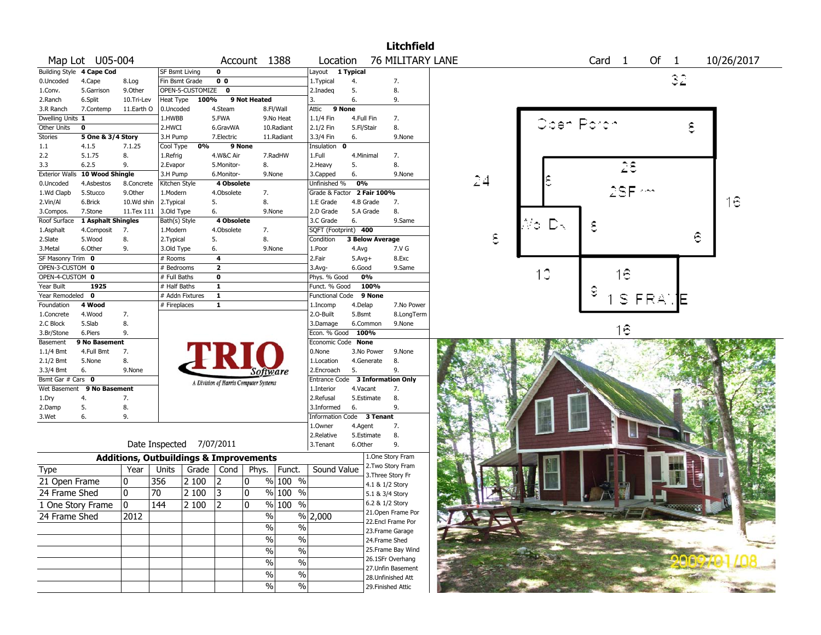|                           |                            |            |                                                   |                  |                                       |                |                                           |                                  |            |                        | <b>Litchfield</b>                     |    |            |                   |                    |      |   |            |
|---------------------------|----------------------------|------------|---------------------------------------------------|------------------|---------------------------------------|----------------|-------------------------------------------|----------------------------------|------------|------------------------|---------------------------------------|----|------------|-------------------|--------------------|------|---|------------|
|                           | Map Lot U05-004            |            |                                                   |                  |                                       |                | Account 1388                              | Location                         |            |                        | <b>76 MILITARY LANE</b>               |    |            | Card <sub>1</sub> |                    | Of 1 |   | 10/26/2017 |
| Building Style 4 Cape Cod |                            |            | <b>SF Bsmt Living</b>                             |                  | 0                                     |                |                                           | Layout                           | 1 Typical  |                        |                                       |    |            |                   |                    |      |   |            |
| 0.Uncoded                 | 4.Cape                     | 8.Log      | Fin Bsmt Grade                                    |                  | $\overline{0}$                        |                |                                           | 1. Typical                       | 4.         |                        | 7.                                    |    |            |                   |                    | 32   |   |            |
| 1.Conv.                   | 5.Garrison                 | 9.0ther    |                                                   | OPEN-5-CUSTOMIZE | 0                                     |                |                                           | 2.Inadeq                         | 5.         |                        | 8.                                    |    |            |                   |                    |      |   |            |
| 2.Ranch                   | 6.Split                    | 10.Tri-Lev | Heat Type                                         | 100%             |                                       | 9 Not Heated   |                                           | 3.                               | 6.         |                        | 9.                                    |    |            |                   |                    |      |   |            |
| 3.R Ranch                 | 7.Contemp                  | 11.Earth O | 0.Uncoded                                         |                  | 4.Steam                               |                | 8.Fl/Wall                                 | Attic                            | 9 None     |                        |                                       |    |            |                   |                    |      |   |            |
| Dwelling Units 1          |                            |            | 1.HWBB                                            |                  | 5.FWA                                 |                | 9.No Heat                                 | 1.1/4 Fin                        | 4.Full Fin |                        | 7.                                    |    |            |                   |                    |      |   |            |
| Other Units               | 0                          |            | 2.HWCI                                            |                  | 6.GravWA                              |                | 10.Radiant                                | 2.1/2 Fin                        | 5.Fl/Stair |                        | 8.                                    |    | Oben Porch |                   |                    |      | ς |            |
| Stories                   | 5 One & 3/4 Story          |            | 3.H Pump                                          |                  | 7.Electric                            |                | 11.Radiant                                | 3.3/4 Fin                        | 6.         |                        | 9.None                                |    |            |                   |                    |      |   |            |
| $1.1\,$                   | 4.1.5                      | 7.1.25     | Cool Type                                         | 0%               |                                       | 9 None         |                                           | Insulation 0                     |            |                        |                                       |    |            |                   |                    |      |   |            |
| 2.2                       | 5.1.75                     | 8.         | 1.Refrig                                          |                  | 4.W&C Air                             |                | 7.RadHW                                   | 1.Full                           | 4.Minimal  |                        | 7.                                    |    |            |                   |                    |      |   |            |
| 3.3                       | 6.2.5                      | 9.         | 2.Evapor                                          |                  | 5.Monitor-                            |                | 8.                                        | 2.Heavy                          | 5.         |                        | 8.                                    |    |            |                   | 28                 |      |   |            |
| <b>Exterior Walls</b>     | 10 Wood Shingle            |            | 3.H Pump                                          |                  | 6.Monitor-                            |                | 9.None                                    | 3.Capped                         | 6.         |                        | 9.None                                |    |            |                   |                    |      |   |            |
| 0.Uncoded                 | 4.Asbestos                 | 8.Concrete | Kitchen Style                                     |                  | 4 Obsolete                            |                |                                           | Unfinished %                     | 0%         |                        |                                       | 24 |            |                   |                    |      |   |            |
| 1.Wd Clapb                | 5.Stucco                   | 9.Other    | 1.Modern                                          |                  | 4.Obsolete                            |                | 7.                                        | Grade & Factor 2 Fair 100%       |            |                        |                                       |    |            |                   | 2SF ~~             |      |   |            |
| 2.Vin/Al                  | 6.Brick                    | 10.Wd shin | 2. Typical                                        |                  | 5.                                    |                | 8.                                        | 1.E Grade                        | 4.B Grade  |                        | 7.                                    |    |            |                   |                    |      |   | 16         |
| 3.Compos.                 | 7.Stone                    | 11.Tex 111 | 3.Old Type                                        |                  | 6.                                    |                | 9.None                                    | 2.D Grade                        |            | 5.A Grade              | 8.                                    |    |            |                   |                    |      |   |            |
| Roof Surface              | 1 Asphalt Shingles         |            | Bath(s) Style                                     |                  | 4 Obsolete                            |                |                                           | 3.C Grade                        | 6.         |                        | 9.Same                                |    |            |                   |                    |      |   |            |
| 1.Asphalt                 | 4.Composit                 | 7.         | 1.Modern                                          |                  | 4.Obsolete                            |                | 7.                                        | SQFT (Footprint) 400             |            |                        |                                       |    | Ñο<br>いっ   | ε                 |                    |      |   |            |
| 2.Slate                   | 5.Wood                     | 8.         | 2. Typical                                        |                  | 5.                                    |                | 8.                                        | Condition                        |            | <b>3 Below Average</b> |                                       | €  |            |                   |                    |      | ε |            |
| 3.Metal                   | 6.Other                    | 9.         | 3.Old Type                                        |                  | 6.                                    |                | 9.None                                    | 1.Poor                           | 4.Avg      |                        | 7.V G                                 |    |            |                   |                    |      |   |            |
| SF Masonry Trim 0         |                            |            | # Rooms                                           |                  | $\overline{a}$                        |                |                                           | 2.Fair                           | $5.Avg+$   |                        | 8.Exc                                 |    |            |                   |                    |      |   |            |
| OPEN-3-CUSTOM 0           |                            |            | # Bedrooms                                        |                  | $\overline{2}$                        |                |                                           | $3.$ Avg-                        | 6.Good     |                        | 9.Same                                |    |            |                   |                    |      |   |            |
| OPEN-4-CUSTOM 0           |                            |            | # Full Baths                                      |                  | $\mathbf 0$                           |                |                                           | Phys. % Good                     |            | 0%                     |                                       |    | 10         |                   | Ιê                 |      |   |            |
| Year Built                | 1925                       |            | # Half Baths                                      |                  | $\mathbf{1}$                          |                |                                           | Funct. % Good                    |            | 100%                   |                                       |    |            |                   |                    |      |   |            |
| Year Remodeled 0          |                            |            |                                                   | # Addn Fixtures  | $\mathbf{1}$                          |                |                                           | Functional Code                  |            | 9 None                 |                                       |    |            | ε                 |                    |      |   |            |
| Foundation                | 4 Wood                     |            | # Fireplaces                                      |                  | $\mathbf{1}$                          |                |                                           | 1.Incomp                         | 4.Delap    |                        | 7.No Power                            |    |            |                   | S FRA              |      | E |            |
| 1.Concrete                | 4.Wood                     | 7.         |                                                   |                  |                                       |                |                                           | 2.O-Built                        | 5.Bsmt     |                        | 8.LongTerm                            |    |            |                   |                    |      |   |            |
| 2.C Block                 | 5.Slab                     | 8.         |                                                   |                  |                                       |                |                                           | 3.Damage                         |            | 6.Common               | 9.None                                |    |            |                   |                    |      |   |            |
| 3.Br/Stone                | 6.Piers                    | 9.         |                                                   |                  |                                       |                |                                           | Econ. % Good                     | 100%       |                        |                                       |    |            |                   | $\widehat{\sigma}$ |      |   |            |
| Basement                  | 9 No Basement              |            |                                                   |                  |                                       |                |                                           | Economic Code None               |            |                        |                                       |    |            |                   |                    |      |   |            |
| 1.1/4 Bmt                 | 4.Full Bmt                 | 7.         |                                                   |                  |                                       |                |                                           | 0.None                           |            | 3.No Power             | 9.None                                |    |            |                   |                    |      |   |            |
| $2.1/2$ Bmt               | 5.None                     | 8.         |                                                   |                  |                                       |                |                                           | 1.Location                       |            | 4.Generate             | 8.                                    |    |            |                   |                    |      |   |            |
| 3.3/4 Bmt                 | 6.                         | 9.None     |                                                   |                  |                                       |                |                                           | 2.Encroach                       | 5.         |                        | 9.                                    |    |            |                   |                    |      |   |            |
| Bsmt Gar # Cars 0         |                            |            |                                                   |                  |                                       |                | Software                                  | Entrance Code 3 Information Only |            |                        |                                       |    |            |                   |                    |      |   |            |
|                           | Wet Basement 9 No Basement |            |                                                   |                  | A Division of Harris Computer Systems |                |                                           | 1.Interior                       | 4.Vacant   |                        | 7.                                    |    |            |                   |                    |      |   |            |
| 1.Dry                     | 4.                         | 7.         |                                                   |                  |                                       |                |                                           | 2.Refusal                        |            | 5.Estimate             | 8.                                    |    |            |                   |                    |      |   |            |
| 2.Damp                    | 5.                         | 8.         |                                                   |                  |                                       |                |                                           | 3.Informed                       | 6.         |                        | 9.                                    |    |            |                   |                    |      |   |            |
| 3.Wet                     | 6.                         | 9.         |                                                   |                  |                                       |                |                                           | Information Code                 |            | 3 Tenant               |                                       |    |            |                   |                    |      |   |            |
|                           |                            |            |                                                   |                  |                                       |                |                                           | 1.0wner                          | 4.Agent    |                        | 7.                                    |    |            |                   |                    |      |   |            |
|                           |                            |            |                                                   |                  |                                       |                |                                           | 2.Relative                       |            | 5.Estimate             | 8.                                    |    |            |                   |                    |      |   |            |
|                           |                            |            | Date Inspected 7/07/2011                          |                  |                                       |                |                                           | 3.Tenant                         | 6.Other    |                        | 9.                                    |    |            |                   |                    |      |   |            |
|                           |                            |            | <b>Additions, Outbuildings &amp; Improvements</b> |                  |                                       |                |                                           |                                  |            |                        | 1.One Story Fram                      |    |            |                   |                    |      |   |            |
| Type                      |                            | Year       | Units                                             | Grade            | Cond                                  | Phys.          | Funct.                                    | Sound Value                      |            |                        | 2. Two Story Fram                     |    |            |                   |                    |      |   |            |
| 21 Open Frame             |                            | 0          | 356                                               | 2 100            | $ 2\rangle$                           | 0              | % 100 %                                   |                                  |            |                        | 3. Three Story Fr                     |    |            |                   |                    |      |   |            |
|                           |                            |            |                                                   |                  |                                       |                |                                           |                                  |            | 4.1 & 1/2 Story        |                                       |    |            |                   |                    |      |   |            |
| 24 Frame Shed             |                            | 10         | 70                                                | 2 100            | 3                                     | 10             | % 100 %                                   |                                  |            | 5.1 & 3/4 Story        |                                       |    |            |                   |                    |      |   |            |
| 1 One Story Frame         |                            | 0          | $\overline{144}$                                  | 2 100            | $\overline{2}$                        | $\overline{0}$ | $\frac{9}{6}$ 100 %                       |                                  |            | 6.2 & 1/2 Story        |                                       |    |            |                   |                    |      |   |            |
| 24 Frame Shed             |                            | 2012       |                                                   |                  |                                       |                | $\%$                                      | % 2,000                          |            |                        | 21. Open Frame Por                    |    |            |                   |                    |      |   |            |
|                           |                            |            |                                                   |                  |                                       |                | $\%$<br>$\%$                              |                                  |            |                        | 22.Encl Frame Por                     |    |            |                   |                    |      |   |            |
|                           |                            |            |                                                   |                  |                                       |                |                                           |                                  |            |                        | 23. Frame Garage                      |    |            |                   |                    |      |   |            |
|                           |                            |            |                                                   |                  |                                       |                | $\%$<br>$\%$                              |                                  |            |                        | 24.Frame Shed                         |    |            |                   |                    |      |   |            |
|                           |                            |            |                                                   |                  |                                       |                | $\%$<br>$\%$                              |                                  |            |                        | 25. Frame Bay Wind                    |    |            |                   |                    |      |   |            |
|                           |                            |            |                                                   |                  |                                       |                | $\overline{\frac{0}{0}}$<br>$\frac{0}{0}$ |                                  |            |                        | 26.1SFr Overhang<br>27.Unfin Basement |    |            |                   |                    |      |   |            |
|                           |                            |            |                                                   |                  |                                       |                | $\overline{\frac{0}{0}}$<br>$\%$          |                                  |            |                        | 28.Unfinished Att                     |    |            |                   |                    |      |   |            |
|                           |                            |            |                                                   |                  |                                       |                | $\overline{\frac{0}{0}}$<br>$\frac{0}{0}$ |                                  |            |                        | 29. Finished Attic                    |    |            |                   |                    |      |   |            |
|                           |                            |            |                                                   |                  |                                       |                |                                           |                                  |            |                        |                                       |    |            |                   |                    |      |   |            |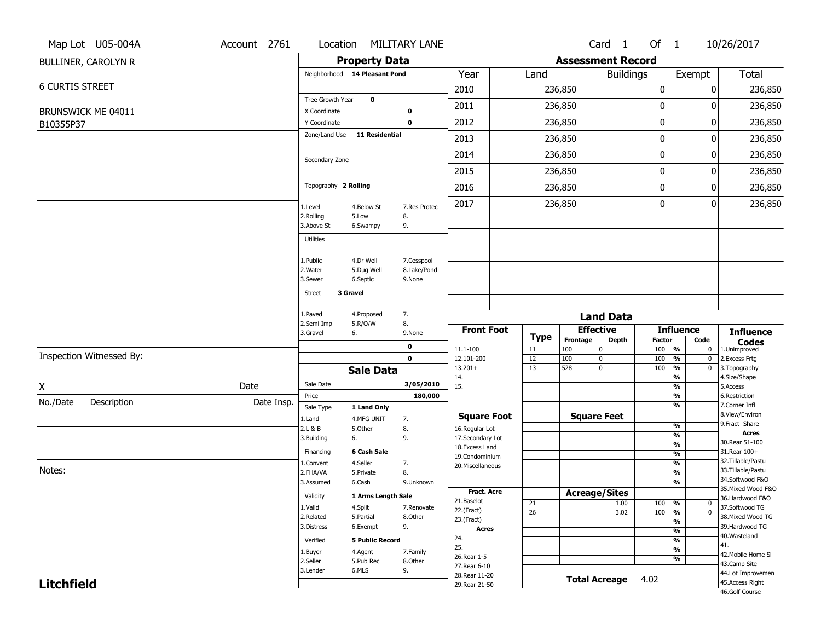|                        | Map Lot U05-004A           | Account 2761             | Location                      |                         | <b>MILITARY LANE</b>      |                                    |                 |                  | Card <sub>1</sub>        | Of 1                             |                                           | 10/26/2017                           |
|------------------------|----------------------------|--------------------------|-------------------------------|-------------------------|---------------------------|------------------------------------|-----------------|------------------|--------------------------|----------------------------------|-------------------------------------------|--------------------------------------|
|                        | <b>BULLINER, CAROLYN R</b> |                          |                               | <b>Property Data</b>    |                           |                                    |                 |                  | <b>Assessment Record</b> |                                  |                                           |                                      |
|                        |                            |                          | Neighborhood 14 Pleasant Pond |                         |                           | Year                               | Land            |                  | <b>Buildings</b>         |                                  | Exempt                                    | <b>Total</b>                         |
| <b>6 CURTIS STREET</b> |                            |                          |                               |                         |                           | 2010                               |                 | 236,850          |                          | 0                                |                                           | 0<br>236,850                         |
|                        |                            |                          | Tree Growth Year              | $\bf{0}$                |                           | 2011                               |                 | 236,850          |                          | 0                                |                                           | 236,850<br>0                         |
|                        | BRUNSWICK ME 04011         |                          | X Coordinate                  |                         | 0                         |                                    |                 |                  |                          |                                  |                                           |                                      |
| B10355P37              |                            |                          | Y Coordinate<br>Zone/Land Use | <b>11 Residential</b>   | $\mathbf 0$               | 2012                               |                 | 236,850          |                          | $\pmb{0}$                        |                                           | 0<br>236,850                         |
|                        |                            |                          |                               |                         |                           | 2013                               |                 | 236,850          | $\pmb{0}$                |                                  |                                           | 236,850<br>0                         |
|                        |                            | Secondary Zone           |                               |                         | 2014                      | 236,850<br>236,850                 |                 | 0                |                          |                                  | 236,850<br>0                              |                                      |
|                        |                            |                          |                               |                         | 2015                      |                                    |                 |                  | 0                        |                                  | 236,850<br>0                              |                                      |
|                        |                            |                          | Topography 2 Rolling          |                         |                           | 2016                               |                 | 236,850          |                          | $\pmb{0}$                        |                                           | 0<br>236,850                         |
|                        |                            |                          | 1.Level                       | 4.Below St              | 7.Res Protec              | 2017                               |                 | 236,850          |                          | $\mathbf 0$                      |                                           | 0<br>236,850                         |
|                        |                            |                          | 2.Rolling<br>3.Above St       | 5.Low<br>6.Swampy       | 8.<br>9.                  |                                    |                 |                  |                          |                                  |                                           |                                      |
|                        |                            |                          | Utilities                     |                         |                           |                                    |                 |                  |                          |                                  |                                           |                                      |
|                        |                            |                          |                               |                         |                           |                                    |                 |                  |                          |                                  |                                           |                                      |
|                        |                            |                          | 1.Public<br>2. Water          | 4.Dr Well<br>5.Dug Well | 7.Cesspool<br>8.Lake/Pond |                                    |                 |                  |                          |                                  |                                           |                                      |
|                        |                            |                          | 3.Sewer                       | 6.Septic                | 9.None                    |                                    |                 |                  |                          |                                  |                                           |                                      |
|                        |                            |                          | 3 Gravel<br><b>Street</b>     |                         |                           |                                    |                 |                  |                          |                                  |                                           |                                      |
|                        |                            |                          | 1.Paved                       | 4.Proposed              | 7.                        |                                    |                 |                  | <b>Land Data</b>         |                                  |                                           |                                      |
|                        |                            | 2.Semi Imp               | 5.R/O/W<br>8.                 |                         | <b>Front Foot</b>         |                                    |                 | <b>Effective</b> |                          | <b>Influence</b>                 |                                           |                                      |
|                        |                            | 3.Gravel<br>6.<br>9.None |                               |                         | Type                      | Frontage<br>Depth                  |                 | <b>Factor</b>    | Code                     | <b>Influence</b><br><b>Codes</b> |                                           |                                      |
|                        | Inspection Witnessed By:   |                          |                               |                         | 0<br>$\mathbf 0$          | 11.1-100<br>12.101-200             | 11<br>12        | 100<br>100       | 0<br>0                   | 100<br>100                       | $\frac{9}{6}$<br>0<br>$\frac{9}{6}$       | 1.Unimproved                         |
|                        |                            |                          |                               | <b>Sale Data</b>        |                           | $13.201+$                          | 13              | 528              | 0                        | 100                              | $\bf{0}$<br>$\frac{9}{6}$<br>0            | 2. Excess Frtg<br>3. Topography      |
|                        |                            | Date                     | Sale Date                     |                         | 3/05/2010                 | 14.<br>15.                         |                 |                  |                          |                                  | $\overline{\frac{9}{6}}$                  | 4.Size/Shape<br>5.Access             |
| X                      |                            |                          | Price                         |                         | 180,000                   |                                    |                 |                  |                          |                                  | $\overline{\frac{9}{6}}$<br>$\frac{9}{6}$ | 6.Restriction                        |
| No./Date               | Description                | Date Insp.               | Sale Type                     | 1 Land Only             |                           |                                    |                 |                  |                          |                                  | $\frac{9}{6}$                             | 7.Corner Infl                        |
|                        |                            |                          | 1.Land                        | 4.MFG UNIT              | 7.                        | <b>Square Foot</b>                 |                 |                  | <b>Square Feet</b>       |                                  | %                                         | 8.View/Environ<br>9. Fract Share     |
|                        |                            |                          | 2.L & B<br>3.Building         | 5.Other<br>6.           | 8.<br>9.                  | 16.Regular Lot<br>17.Secondary Lot |                 |                  |                          |                                  | %                                         | <b>Acres</b>                         |
|                        |                            |                          |                               |                         |                           | 18. Excess Land                    |                 |                  |                          |                                  | $\frac{9}{6}$                             | 30. Rear 51-100                      |
|                        |                            |                          | Financing                     | 6 Cash Sale<br>4.Seller |                           | 19.Condominium                     |                 |                  |                          |                                  | $\frac{9}{6}$<br>$\frac{9}{6}$            | 31.Rear 100+<br>32.Tillable/Pastu    |
| Notes:                 |                            |                          | 1.Convent<br>2.FHA/VA         | 5.Private               | 7.<br>8.                  | 20.Miscellaneous                   |                 |                  |                          |                                  | $\frac{9}{6}$                             | 33.Tillable/Pastu                    |
|                        |                            |                          | 3.Assumed                     | 6.Cash                  | 9.Unknown                 |                                    |                 |                  |                          |                                  | $\frac{9}{6}$                             | 34.Softwood F&O                      |
|                        |                            |                          |                               |                         |                           | Fract. Acre                        |                 |                  | <b>Acreage/Sites</b>     |                                  |                                           | 35. Mixed Wood F&O                   |
|                        |                            |                          |                               |                         |                           |                                    |                 |                  |                          |                                  |                                           |                                      |
|                        |                            |                          | Validity                      | 1 Arms Length Sale      |                           | 21.Baselot                         | 21              |                  | 1.00                     | 100 %                            | $\mathbf{0}$                              | 36.Hardwood F&O                      |
|                        |                            |                          | 1.Valid                       | 4.Split                 | 7.Renovate                | 22.(Fract)                         | $\overline{26}$ |                  | 3.02                     | 100 %                            | $\overline{0}$                            | 37.Softwood TG                       |
|                        |                            |                          | 2.Related<br>3.Distress       | 5.Partial<br>6.Exempt   | 8.Other<br>9.             | 23.(Fract)                         |                 |                  |                          |                                  | $\overline{\frac{9}{6}}$                  | 38. Mixed Wood TG<br>39.Hardwood TG  |
|                        |                            |                          |                               |                         |                           | <b>Acres</b>                       |                 |                  |                          |                                  | $\frac{9}{6}$                             | 40. Wasteland                        |
|                        |                            |                          | Verified                      | <b>5 Public Record</b>  |                           | 24.<br>25.                         |                 |                  |                          |                                  | $\frac{9}{6}$                             | 41.                                  |
|                        |                            |                          | 1.Buyer                       | 4.Agent                 | 7.Family                  | 26. Rear 1-5                       |                 |                  |                          |                                  | $\frac{9}{6}$<br>$\overline{\frac{9}{6}}$ | 42. Mobile Home Si                   |
|                        |                            |                          | 2.Seller                      | 5.Pub Rec               | 8.Other                   | 27. Rear 6-10                      |                 |                  |                          |                                  |                                           | 43.Camp Site                         |
| <b>Litchfield</b>      |                            |                          | 3.Lender                      | 6.MLS                   | 9.                        | 28. Rear 11-20<br>29. Rear 21-50   |                 |                  | <b>Total Acreage</b>     | 4.02                             |                                           | 44.Lot Improvemen<br>45.Access Right |